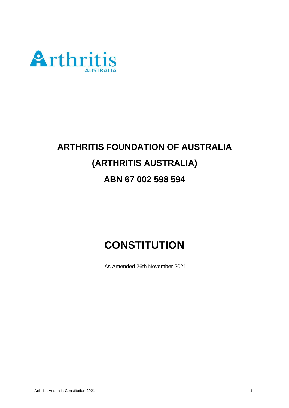

# **ARTHRITIS FOUNDATION OF AUSTRALIA (ARTHRITIS AUSTRALIA) ABN 67 002 598 594**

# **CONSTITUTION**

As Amended 26th November 2021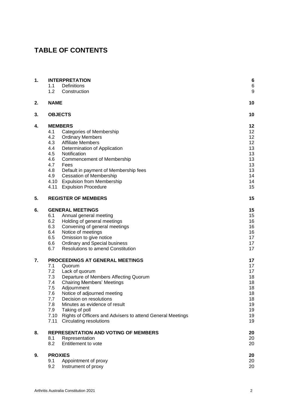# **TABLE OF CONTENTS**

| 1. | <b>INTERPRETATION</b><br>1.1<br>Definitions |                                                                         | 6<br>6   |
|----|---------------------------------------------|-------------------------------------------------------------------------|----------|
|    | 1.2                                         | Construction                                                            | g        |
| 2. | <b>NAME</b>                                 |                                                                         | 10       |
| 3. | <b>OBJECTS</b>                              |                                                                         | 10       |
| 4. | <b>MEMBERS</b>                              |                                                                         | 12       |
|    | 4.1                                         | Categories of Membership                                                | 12       |
|    | 4.2                                         | <b>Ordinary Members</b>                                                 | 12       |
|    | 4.3                                         | <b>Affiliate Members</b>                                                | 12       |
|    | 4.4                                         | Determination of Application                                            | 13       |
|    | 4.5                                         | Notification                                                            | 13       |
|    | 4.6                                         | <b>Commencement of Membership</b>                                       | 13       |
|    | 4.7                                         | Fees                                                                    | 13       |
|    | 4.8<br>4.9                                  | Default in payment of Membership fees<br><b>Cessation of Membership</b> | 13<br>14 |
|    |                                             | 4.10 Expulsion from Membership                                          | 14       |
|    | 4.11                                        | <b>Expulsion Procedure</b>                                              | 15       |
|    |                                             |                                                                         |          |
| 5. |                                             | <b>REGISTER OF MEMBERS</b>                                              | 15       |
| 6. |                                             | <b>GENERAL MEETINGS</b>                                                 | 15       |
|    | 6.1                                         | Annual general meeting                                                  | 15       |
|    | 6.2                                         | Holding of general meetings                                             | 16       |
|    | 6.3                                         | Convening of general meetings                                           | 16       |
|    | 6.4                                         | Notice of meetings                                                      | 16       |
|    | 6.5<br>6.6                                  | Omission to give notice<br><b>Ordinary and Special business</b>         | 17<br>17 |
|    | 6.7                                         | <b>Resolutions to amend Constitution</b>                                | 17       |
|    |                                             |                                                                         |          |
| 7. |                                             | PROCEEDINGS AT GENERAL MEETINGS                                         | 17       |
|    | 7.1                                         | Quorum                                                                  | 17       |
|    | 7.2                                         | Lack of quorum                                                          | 17       |
|    | 7.3                                         | Departure of Members Affecting Quorum                                   | 18       |
|    | 7.4                                         | <b>Chairing Members' Meetings</b>                                       | 18       |
|    | $7.5\,$                                     | Adjournment                                                             | 18       |
|    | 7.6<br>7.7                                  | Notice of adjourned meeting                                             | 18<br>18 |
|    | 7.8                                         | Decision on resolutions<br>Minutes as evidence of result                | 19       |
|    | 7.9                                         | Taking of poll                                                          | 19       |
|    | 7.10                                        | Rights of Officers and Advisers to attend General Meetings              | 19       |
|    | 7.11                                        | <b>Circulating resolutions</b>                                          | 19       |
| 8. | <b>REPRESENTATION AND VOTING OF MEMBERS</b> |                                                                         | 20       |
|    | 8.1                                         | Representation                                                          | 20       |
|    | 8.2                                         | Entitlement to vote                                                     | 20       |
| 9. | <b>PROXIES</b>                              |                                                                         | 20       |
|    | 9.1                                         | Appointment of proxy                                                    | 20       |
|    | 9.2                                         | Instrument of proxy                                                     | 20       |
|    |                                             |                                                                         |          |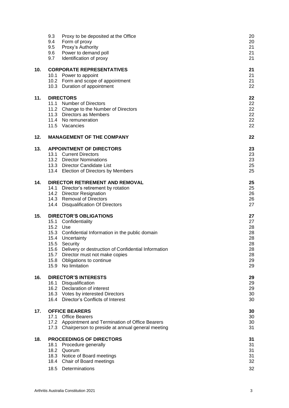|     | 9.3<br>Proxy to be deposited at the Office<br>9.4<br>Form of proxy<br>9.5<br>Proxy's Authority<br>Power to demand poll<br>9.6<br>9.7<br>Identification of proxy                                                                                                                                                            | 20<br>20<br>21<br>21<br>21                               |
|-----|----------------------------------------------------------------------------------------------------------------------------------------------------------------------------------------------------------------------------------------------------------------------------------------------------------------------------|----------------------------------------------------------|
| 10. | <b>CORPORATE REPRESENTATIVES</b><br>10.1 Power to appoint<br>10.2 Form and scope of appointment<br>10.3 Duration of appointment                                                                                                                                                                                            | 21<br>21<br>21<br>22                                     |
| 11. | <b>DIRECTORS</b><br>11.1 Number of Directors<br>11.2 Change to the Number of Directors<br>11.3 Directors as Members<br>11.4 No remuneration<br>11.5 Vacancies                                                                                                                                                              | 22<br>22<br>22<br>22<br>22<br>22                         |
| 12. | <b>MANAGEMENT OF THE COMPANY</b>                                                                                                                                                                                                                                                                                           | 22                                                       |
| 13. | <b>APPOINTMENT OF DIRECTORS</b><br>13.1 Current Directors<br>13.2 Director Nominations<br>13.3 Director Candidate List<br>13.4 Election of Directors by Members                                                                                                                                                            | 23<br>23<br>23<br>25<br>25                               |
| 14. | <b>DIRECTOR RETIREMENT AND REMOVAL</b><br>14.1 Director's retirement by rotation<br>14.2 Director Resignation<br>14.3 Removal of Directors<br>14.4 Disqualification Of Directors                                                                                                                                           | 25<br>25<br>26<br>26<br>27                               |
| 15. | <b>DIRECTOR'S OBLIGATIONS</b><br>15.1 Confidentiality<br>15.2 Use<br>15.3 Confidential Information in the public domain<br>15.4 Uncertainty<br>15.5 Security<br>Delivery or destruction of Confidential Information<br>15.6<br>15.7 Director must not make copies<br>15.8 Obligations to continue<br>15.9<br>No limitation | 27<br>27<br>28<br>28<br>28<br>28<br>28<br>28<br>29<br>29 |
| 16. | <b>DIRECTOR'S INTERESTS</b><br>16.1 Disqualification<br>16.2 Declaration of interest<br>16.3 Votes by interested Directors<br>16.4 Director's Conflicts of Interest                                                                                                                                                        | 29<br>29<br>29<br>30<br>30                               |
| 17. | <b>OFFICE BEARERS</b><br>17.1<br><b>Office Bearers</b><br>17.2 Appointment and Termination of Office Bearers<br>17.3 Chairperson to preside at annual general meeting                                                                                                                                                      | 30<br>30<br>30<br>31                                     |
| 18. | <b>PROCEEDINGS OF DIRECTORS</b><br>18.1<br>Procedure generally<br>18.2 Quorum<br>18.3 Notice of Board meetings<br>18.4 Chair of Board meetings<br>18.5<br>Determinations                                                                                                                                                   | 31<br>31<br>31<br>31<br>32<br>32                         |
|     |                                                                                                                                                                                                                                                                                                                            |                                                          |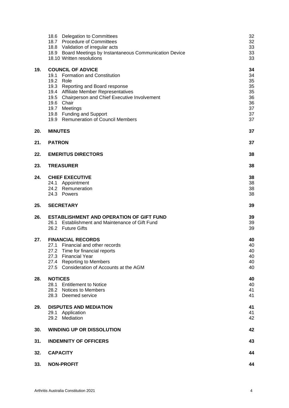|     | 18.6 Delegation to Committees<br>18.7 Procedure of Committees<br>18.8 Validation of irregular acts<br>18.9 Board Meetings by Instantaneous Communication Device<br>18.10 Written resolutions                                                                                                                            | 32<br>32<br>33<br>33<br>33                               |
|-----|-------------------------------------------------------------------------------------------------------------------------------------------------------------------------------------------------------------------------------------------------------------------------------------------------------------------------|----------------------------------------------------------|
| 19. | <b>COUNCIL OF ADVICE</b><br>19.1 Formation and Constitution<br>19.2 Role<br>19.3 Reporting and Board response<br>19.4 Affiliate Member Representatives<br>19.5<br><b>Chairperson and Chief Executive Involvement</b><br>19.6 Chair<br>19.7 Meetings<br>19.8 Funding and Support<br>19.9 Remuneration of Council Members | 34<br>34<br>35<br>35<br>35<br>36<br>36<br>37<br>37<br>37 |
| 20. | <b>MINUTES</b>                                                                                                                                                                                                                                                                                                          | 37                                                       |
| 21. | <b>PATRON</b>                                                                                                                                                                                                                                                                                                           | 37                                                       |
| 22. | <b>EMERITUS DIRECTORS</b>                                                                                                                                                                                                                                                                                               | 38                                                       |
| 23. | <b>TREASURER</b>                                                                                                                                                                                                                                                                                                        | 38                                                       |
| 24. | <b>CHIEF EXECUTIVE</b><br>24.1 Appointment<br>24.2 Remuneration<br>24.3 Powers                                                                                                                                                                                                                                          | 38<br>38<br>38<br>38                                     |
| 25. | <b>SECRETARY</b>                                                                                                                                                                                                                                                                                                        | 39                                                       |
| 26. | <b>ESTABLISHMENT AND OPERATION OF GIFT FUND</b><br>Establishment and Maintenance of Gift Fund<br>26.1<br>26.2 Future Gifts                                                                                                                                                                                              | 39<br>39<br>39                                           |
| 27. | <b>FINANCIAL RECORDS</b><br>27.1 Financial and other records<br>27.2 Time for financial reports<br>27.3 Financial Year<br>27.4 Reporting to Members<br>27.5 Consideration of Accounts at the AGM                                                                                                                        | 40<br>40<br>40<br>40<br>40<br>40                         |
| 28. | <b>NOTICES</b><br>28.1 Entitlement to Notice<br>28.2 Notices to Members<br>28.3 Deemed service                                                                                                                                                                                                                          | 40<br>40<br>41<br>41                                     |
| 29. | <b>DISPUTES AND MEDIATION</b><br>29.1<br>Application<br>29.2 Mediation                                                                                                                                                                                                                                                  | 41<br>41<br>42                                           |
| 30. | <b>WINDING UP OR DISSOLUTION</b>                                                                                                                                                                                                                                                                                        | 42                                                       |
| 31. | <b>INDEMNITY OF OFFICERS</b>                                                                                                                                                                                                                                                                                            | 43                                                       |
| 32. | <b>CAPACITY</b>                                                                                                                                                                                                                                                                                                         | 44                                                       |
| 33. | <b>NON-PROFIT</b>                                                                                                                                                                                                                                                                                                       | 44                                                       |
|     |                                                                                                                                                                                                                                                                                                                         |                                                          |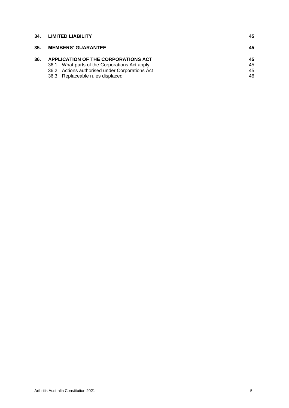| 34. | <b>LIMITED LIABILITY</b>                                                                                                                                                   | 45                   |
|-----|----------------------------------------------------------------------------------------------------------------------------------------------------------------------------|----------------------|
| 35. | <b>MEMBERS' GUARANTEE</b>                                                                                                                                                  | 45                   |
| 36. | APPLICATION OF THE CORPORATIONS ACT<br>36.1 What parts of the Corporations Act apply<br>36.2 Actions authorised under Corporations Act<br>36.3 Replaceable rules displaced | 45<br>45<br>45<br>46 |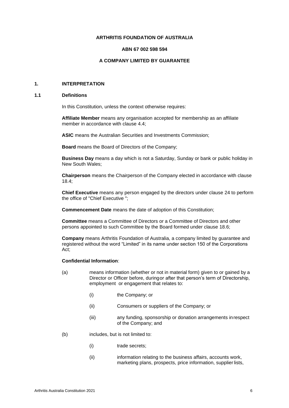#### **ARTHRITIS FOUNDATION OF AUSTRALIA**

#### **ABN 67 002 598 594**

# **A COMPANY LIMITED BY GUARANTEE**

# <span id="page-5-0"></span>**1. INTERPRETATION**

#### <span id="page-5-1"></span>**1.1 Definitions**

In this Constitution, unless the context otherwise requires:

**Affiliate Member** means any organisation accepted for membership as an affiliate member in accordance with clause [4.4;](#page-12-0)

**ASIC** means the Australian Securities and Investments Commission;

**Board** means the Board of Directors of the Company;

**Business Day** means a day which is not a Saturday, Sunday or bank or public holiday in New South Wales;

**Chairperson** means the Chairperson of the Company elected in accordance with clause 18.4;

**Chief Executive** means any person engaged by the directors under clause [24 t](#page-37-2)o perform the office of "Chief Executive ";

**Commencement Date** means the date of adoption of this Constitution;

**Committee** means a Committee of Directors or a Committee of Directors and other persons appointed to such Committee by the Board formed under clause [18.6;](#page-31-2)

**Company** means Arthritis Foundation of Australia, a company limited by guarantee and registered without the word "Limited" in its name under section 150 of the Corporations Act;

#### **Confidential Information**:

- (a) means information (whether or not in material form) given to or gained by a Director or Officer before, duringor after that person's term of Directorship, employment or engagement that relates to:
	- (i) the Company; or
	- (ii) Consumers or suppliers of the Company; or
	- (iii) any funding, sponsorship or donation arrangements inrespect of the Company; and
- (b) includes, but is not limited to:
	- (i) trade secrets;
	- (ii) information relating to the business affairs, accounts work, marketing plans, prospects, price information, supplier lists,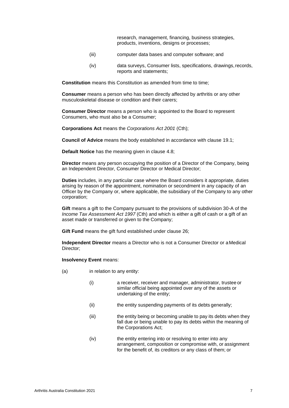research, management, financing, business strategies, products, inventions, designs or processes;

- (iii) computer data bases and computer software; and
- (iv) data surveys, Consumer lists, specifications, drawings,records, reports and statements;

**Constitution** means this Constitution as amended from time to time;

**Consumer** means a person who has been directly affected by arthritis or any other musculoskeletal disease or condition and their carers;

**Consumer Director** means a person who is appointed to the Board to represent Consumers, who must also be a Consumer;

**Corporations Act** means the *Corporations Act 2001* (Cth);

**Council of Advice** means the body established in accordance with clause [19.1;](#page-33-1)

**Default Notice** has the meaning given in clause [4.8;](#page-12-4)

**Director** means any person occupying the position of a Director of the Company, being an Independent Director, Consumer Director or Medical Director;

**Duties** includes, in any particular case where the Board considers it appropriate, duties arising by reason of the appointment, nomination or secondment in any capacity of an Officer by the Company or, where applicable, the subsidiary of the Company to any other corporation;

**Gift** means a gift to the Company pursuant to the provisions of subdivision 30-A of the *Income Tax Assessment Act 1997* (Cth) and which is either a gift of cash or a gift of an asset made or transferred or given to the Company;

**Gift Fund** means the gift fund established under clause [26;](#page-38-1)

**Independent Director** means a Director who is not a Consumer Director or aMedical Director;

**Insolvency Event** means:

- (a) in relation to any entity:
	- (i) a receiver, receiver and manager, administrator, trustee or similar official being appointed over any of the assets or undertaking of the entity;
	- (ii) the entity suspending payments of its debts generally;
	- (iii) the entity being or becoming unable to pay its debts when they fall due or being unable to pay its debts within the meaning of the Corporations Act;
	- (iv) the entity entering into or resolving to enter into any arrangement, composition or compromise with, or assignment for the benefit of, its creditors or any class of them; or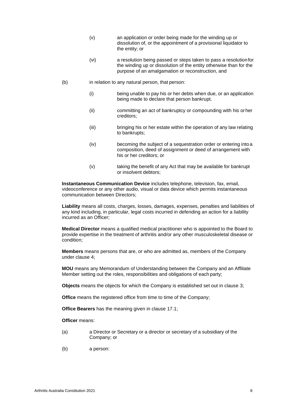- (v) an application or order being made for the winding up or dissolution of, or the appointment of a provisional liquidator to the entity; or
- (vi) a resolution being passed or steps taken to pass a resolutionfor the winding up or dissolution of the entity otherwise than for the purpose of an amalgamation or reconstruction, and
- (b) in relation to any natural person, that person:
	- (i) being unable to pay his or her debts when due, or an application being made to declare that person bankrupt.
	- (ii) committing an act of bankruptcy or compounding with his orher creditors;
	- (iii) bringing his or her estate within the operation of any law relating to bankrupts;
	- (iv) becoming the subject of a sequestration order or entering into a composition, deed of assignment or deed of arrangement with his or her creditors; or
	- (v) taking the benefit of any Act that may be available for bankrupt or insolvent debtors;

**Instantaneous Communication Device** includes telephone, television, fax, email, videoconference or any other audio, visual or data device which permits instantaneous communication between Directors;

**Liability** means all costs, charges, losses, damages, expenses, penalties and liabilities of any kind including, in particular, legal costs incurred in defending an action for a liability incurred as an Officer;

**Medical Director** means a qualified medical practitioner who is appointed to the Board to provide expertise in the treatment of arthritis and/or any other musculoskeletal disease or condition;

**Members** means persons that are, or who are admitted as, members of the Company under clause [4;](#page-11-0)

**MOU** means any Memorandum of Understanding between the Company and an Affiliate Member setting out the roles, responsibilities and obligations of each party;

**Objects** means the objects for which the Company is established set out in clause [3;](#page-9-1)

**Office** means the registered office from time to time of the Company;

**Office Bearers** has the meaning given in clause [17.1;](#page-29-3)

**Officer** means:

- (a) a Director or Secretary or a director or secretary of a subsidiary of the Company; or
- (b) a person: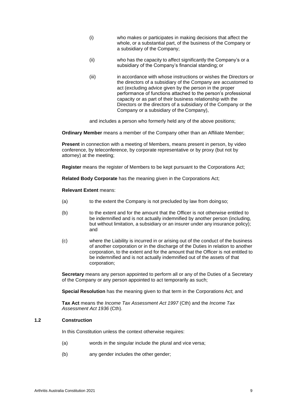- (i) who makes or participates in making decisions that affect the whole, or a substantial part, of the business of the Company or a subsidiary of the Company;
- (ii) who has the capacity to affect significantly the Company's or a subsidiary of the Company's financial standing; or
- (iii) in accordance with whose instructions or wishes the Directors or the directors of a subsidiary of the Company are accustomed to act (excluding advice given by the person in the proper performance of functions attached to the person's professional capacity or as part of their business relationship with the Directors or the directors of a subsidiary of the Company or the Company or a subsidiary of the Company),

and includes a person who formerly held any of the above positions;

**Ordinary Member** means a member of the Company other than an Affiliate Member;

**Present** in connection with a meeting of Members, means present in person, by video conference, by teleconference, by corporate representative or by proxy (but not by attorney) at the meeting;

**Register** means the register of Members to be kept pursuant to the Corporations Act;

**Related Body Corporate** has the meaning given in the Corporations Act;

**Relevant Extent** means:

- (a) to the extent the Company is not precluded by law from doingso;
- (b) to the extent and for the amount that the Officer is not otherwise entitled to be indemnified and is not actually indemnified by another person (including, but without limitation, a subsidiary or an insurer under any insurance policy); and
- (c) where the Liability is incurred in or arising out of the conduct of the business of another corporation or in the discharge of the Duties in relation to another corporation, to the extent and for the amount that the Officer is not entitled to be indemnified and is not actually indemnified out of the assets of that corporation;

**Secretary** means any person appointed to perform all or any of the Duties of a Secretary of the Company or any person appointed to act temporarily as such;

**Special Resolution** has the meaning given to that term in the Corporations Act; and

**Tax Act** means the *Income Tax Assessment Act 1997* (Cth) and the *Income Tax Assessment Act 1936* (Cth).

#### <span id="page-8-0"></span>**1.2 Construction**

In this Constitution unless the context otherwise requires:

- (a) words in the singular include the plural and vice versa;
- (b) any gender includes the other gender;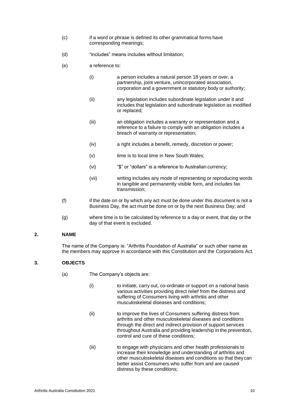- (c) if a word or phrase is defined its other grammatical forms have corresponding meanings;
- (d) "includes" means includes without limitation;
- (e) a reference to:
	- (i) a person includes a natural person 18 years or over, a partnership, joint venture, unincorporated association, corporation and a government or statutory body or authority;
	- (ii) any legislation includes subordinate legislation under it and includes that legislation and subordinate legislation as modified or replaced;
	- (iii) an obligation includes a warranty or representation and a reference to a failure to comply with an obligation includes a breach of warranty or representation;
	- (iv) a right includes a benefit, remedy, discretion or power;
	- (v) time is to local time in New South Wales;
	- (vi) "\$" or "dollars" is a reference to Australian currency;
	- (vii) writing includes any mode of representing or reproducing words in tangible and permanently visible form, and includes fax transmission;
- (f) if the date on or by which any act must be done under this document is not a Business Day, the act must be done on or by the next Business Day; and
- (g) where time is to be calculated by reference to a day or event, that day or the day of that event is excluded.

#### <span id="page-9-0"></span>**2. NAME**

The name of the Company is: "Arthritis Foundation of Australia" or such other name as the members may approve in accordance with this Constitution and the Corporations Act.

# <span id="page-9-1"></span>**3. OBJECTS**

- (a) The Company's objects are:
	- (i) to initiate, carry out, co-ordinate or support on a national basis various activities providing direct relief from the distress and suffering of Consumers living with arthritis and other musculoskeletal diseases and conditions;
	- (ii) to improve the lives of Consumers suffering distress from arthritis and other musculoskeletal diseases and conditions through the direct and indirect provision of support services throughout Australia and providing leadership in the prevention, control and cure of these conditions;
	- (iii) to engage with physicians and other health professionals to increase their knowledge and understanding of arthritis and other musculoskeletal diseases and conditions so that theycan better assist Consumers who suffer from and are caused distress by these conditions;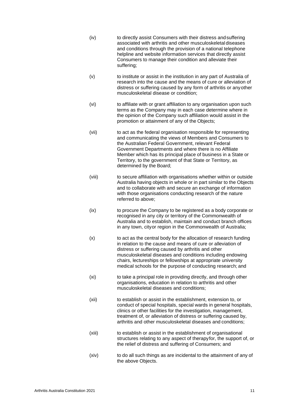- (iv) to directly assist Consumers with their distress andsuffering associated with arthritis and other musculoskeletal diseases and conditions through the provision of a national telephone helpline and website information services that directly assist Consumers to manage their condition and alleviate their suffering;
- (v) to institute or assist in the institution in any part of Australia of research into the cause and the means of cure or alleviation of distress or suffering caused by any form of arthritis or anyother musculoskeletal disease or condition;
- (vi) to affiliate with or grant affiliation to any organisation upon such terms as the Company may in each case determine where in the opinion of the Company such affiliation would assist in the promotion or attainment of any of the Objects;
- (vii) to act as the federal organisation responsible for representing and communicating the views of Members and Consumers to the Australian Federal Government, relevant Federal Government Departments and where there is no Affiliate Member which has its principal place of business in a State or Territory, to the government of that State or Territory, as determined by the Board;
- (viii) to secure affiliation with organisations whether within or outside Australia having objects in whole or in part similar to the Objects and to collaborate with and secure an exchange of information with those organisations conducting research of the nature referred to above;
- (ix) to procure the Company to be registered as a body corporate or recognised in any city or territory of the Commonwealth of Australia and to establish, maintain and conduct branch offices in any town, cityor region in the Commonwealth of Australia;
- (x) to act as the central body for the allocation of research funding in relation to the cause and means of cure or alleviation of distress or suffering caused by arthritis and other musculoskeletal diseases and conditions including endowing chairs, lectureships or fellowships at appropriate university medical schools for the purpose of conducting research; and
- (xi) to take a principal role in providing directly, and through other organisations, education in relation to arthritis and other musculoskeletal diseases and conditions;
- (xii) to establish or assist in the establishment, extension to, or conduct of special hospitals, special wards in general hospitals, clinics or other facilities for the investigation, management, treatment of, or alleviation of distress or suffering caused by, arthritis and other musculoskeletal diseases and conditions;
- (xiii) to establish or assist in the establishment of organisational structures relating to any aspect of therapyfor, the support of, or the relief of distress and suffering of Consumers; and
- (xiv) to do all such things as are incidental to the attainment of any of the above Objects.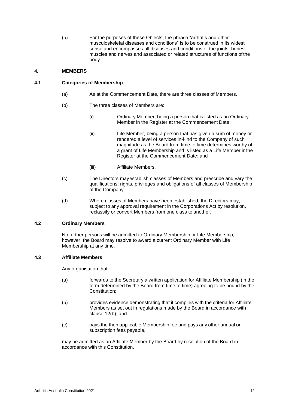(b) For the purposes of these Objects, the phrase "arthritis and other musculoskeletal diseases and conditions" is to be construed in its widest sense and encompasses all diseases and conditions of the joints, bones, muscles and nerves and associated or related structures of functions ofthe body.

# <span id="page-11-0"></span>**4. MEMBERS**

# <span id="page-11-1"></span>**4.1 Categories of Membership**

- (a) As at the Commencement Date, there are three classes of Members.
- (b) The three classes of Members are:
	- (i) Ordinary Member, being a person that is listed as an Ordinary Member in the Register at the Commencement Date;
	- (ii) Life Member, being a person that has given a sum of money or rendered a level of services in-kind to the Company of such magnitude as the Board from time to time determines worthy of a grant of Life Membership and is listed as a Life Member inthe Register at the Commencement Date; and
	- (iii) Affiliate Members.
- (c) The Directors mayestablish classes of Members and prescribe and vary the qualifications, rights, privileges and obligations of all classes of Membership of the Company.
- (d) Where classes of Members have been established, the Directors may, subject to any approval requirement in the Corporations Act by resolution, reclassify or convert Members from one class to another.

#### <span id="page-11-2"></span>**4.2 Ordinary Members**

No further persons will be admitted to Ordinary Membership or Life Membership, however, the Board may resolve to award a current Ordinary Member with Life Membership at any time.

# <span id="page-11-3"></span>**4.3 Affiliate Members**

Any organisation that:

- (a) forwards to the Secretary a written application for Affiliate Membership (in the form determined by the Board from time to time) agreeing to be bound by the Constitution;
- <span id="page-11-4"></span>(b) provides evidence demonstrating that it complies with the criteria for Affiliate Members as set out in regulations made by the Board in accordance with clause [12\(b\);](#page-22-3) and
- (c) pays the then applicable Membership fee and pays any other annual or subscription fees payable,

may be admitted as an Affiliate Member by the Board by resolution of the Board in accordance with this Constitution.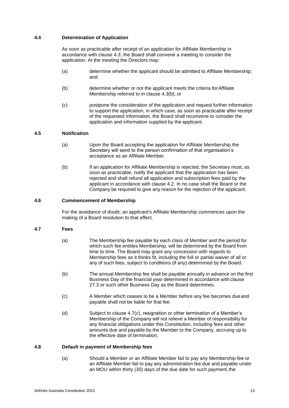# <span id="page-12-0"></span>**4.4 Determination of Application**

As soon as practicable after receipt of an application for Affiliate Membership in accordance with clause [4.3, t](#page-11-3)he Board shall convene a meeting to consider the application. At the meeting the Directors may:

- (a) determine whether the applicant should be admitted to Affiliate Membership; and
- (b) determine whether or not the applicant meets the criteria forAffiliate Membership referred to in clause [4.3\(b\);](#page-11-4) or
- (c) postpone the consideration of the application and request further information to support the application, in which case, as soon as practicable after receipt of the requested information, the Board shall reconvene to consider the application and information supplied by the applicant.

#### <span id="page-12-1"></span>**4.5 Notification**

- (a) Upon the Board accepting the application for Affiliate Membership,the Secretary will send to the person confirmation of that organisation's acceptance as an Affiliate Member.
- (b) If an application for Affiliate Membership is rejected, the Secretary must, as soon as practicable, notify the applicant that the application has been rejected and shall refund all application and subscription fees paid by the applicant in accordance with clause [4.2.](#page-11-2) In no case shall the Board or the Company be required to give any reason for the rejection of the applicant.

#### <span id="page-12-2"></span>**4.6 Commencement of Membership**

For the avoidance of doubt, an applicant's Affiliate Membership commences upon the making of a Board resolution to that effect.

#### <span id="page-12-3"></span>**4.7 Fees**

- (a) The Membership fee payable by each class of Member and the period for which such fee entitles Membership, will be determined by the Board from time to time. The Board may grant any concession with regards to Membership fees as it thinks fit, including the full or partial waiver of all or any of such fees, subject to conditions (if any) determined by the Board.
- (b) The annual Membership fee shall be payable annually in advance on the first Business Day of the financial year determined in accordance withclause [27.3 o](#page-39-3)r such other Business Day as the Board determines.
- (c) A Member which ceases to be a Member before any fee becomes dueand payable shall not be liable for that fee.
- (d) Subject to clause [4.7\(c\), r](#page-12-3)esignation or other termination of a Member's Membership of the Company will not relieve a Member of responsibility for any financial obligations under this Constitution, including fees and other amounts due and payable by the Member to the Company, accruing up to the effective date of termination.

#### <span id="page-12-4"></span>**4.8 Default in payment of Membership fees**

(a) Should a Member or an Affiliate Member fail to pay any Membership fee or an Affiliate Member fail to pay any administration fee due and payable under an MOU within thirty (30) days of the due date for such payment, the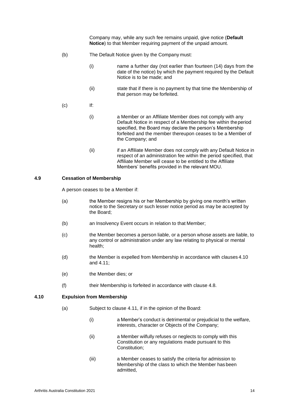Company may, while any such fee remains unpaid, give notice (**Default Notice**) to that Member requiring payment of the unpaid amount.

- (b) The Default Notice given by the Company must:
	- (i) name a further day (not earlier than fourteen (14) days from the date of the notice) by which the payment required by the Default Notice is to be made; and
	- (ii) state that if there is no payment by that time the Membership of that person may be forfeited.
- (c) If:
	- (i) a Member or an Affiliate Member does not comply with any Default Notice in respect of a Membership fee within theperiod specified, the Board may declare the person's Membership forfeited and the member thereupon ceases to be a Member of the Company; and
	- (ii) if an Affiliate Member does not comply with any Default Notice in respect of an administration fee within the period specified, that Affiliate Member will cease to be entitled to the Affiliate Members' benefits provided in the relevant MOU.

### <span id="page-13-0"></span>**4.9 Cessation of Membership**

A person ceases to be a Member if:

- (a) the Member resigns his or her Membership by giving one month's written notice to the Secretary or such lesser notice period as may be accepted by the Board;
- (b) an Insolvency Event occurs in relation to that Member;
- (c) the Member becomes a person liable, or a person whose assets are liable, to any control or administration under any law relating to physical or mental health;
- (d) the Member is expelled from Membership in accordance with clauses [4.10](#page-13-1) and [4.11;](#page-14-0)
- (e) the Member dies; or
- (f) their Membership is forfeited in accordance with clause [4.8.](#page-12-4)

#### <span id="page-13-1"></span>**4.10 Expulsion from Membership**

- (a) Subject to clause [4.11, if](#page-14-0) in the opinion of the Board:
	- (i) a Member's conduct is detrimental or prejudicial to the welfare, interests, character or Objects of the Company;
	- (ii) a Member wilfully refuses or neglects to comply with this Constitution or any regulations made pursuant to this Constitution;
	- (iii) a Member ceases to satisfy the criteria for admission to Membership of the class to which the Member has been admitted,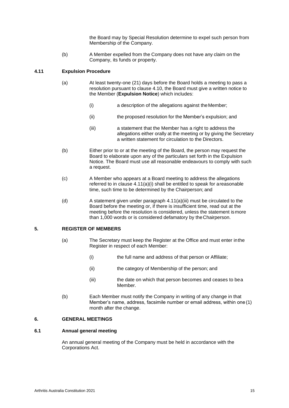the Board may by Special Resolution determine to expel such person from Membership of the Company.

(b) A Member expelled from the Company does not have any claim on the Company, its funds or property.

# <span id="page-14-4"></span><span id="page-14-0"></span>**4.11 Expulsion Procedure**

- (a) At least twenty-one (21) days before the Board holds a meeting to pass a resolution pursuant to clause [4.10,](#page-13-1) the Board must give a written notice to the Member (**Expulsion Notice**) which includes:
	- (i) a description of the allegations against theMember;
	- (ii) the proposed resolution for the Member's expulsion; and
	- (iii) a statement that the Member has a right to address the allegations either orally at the meeting or by giving the Secretary a written statement for circulation to the Directors.
- (b) Either prior to or at the meeting of the Board, the person may request the Board to elaborate upon any of the particulars set forth in the Expulsion Notice. The Board must use all reasonable endeavours to comply with such a request.
- (c) A Member who appears at a Board meeting to address the allegations referred to in clause [4.11\(a\)\(i\) s](#page-14-4)hall be entitled to speak for areasonable time, such time to be determined by the Chairperson; and
- (d) A statement given under paragraph [4.11\(](#page-14-0)a)(iii) must be circulated to the Board before the meeting or, if there is insufficient time, read out at the meeting before the resolution is considered, unless the statement ismore than 1,000 words or is considered defamatory by theChairperson.

# <span id="page-14-1"></span>**5. REGISTER OF MEMBERS**

- (a) The Secretary must keep the Register at the Office and must enter inthe Register in respect of each Member:
	- (i) the full name and address of that person or Affiliate;
	- (ii) the category of Membership of the person; and
	- (iii) the date on which that person becomes and ceases to bea Member.
- (b) Each Member must notify the Company in writing of any change in that Member's name, address, facsimile number or email address, within one (1) month after the change.

# <span id="page-14-2"></span>**6. GENERAL MEETINGS**

# <span id="page-14-3"></span>**6.1 Annual general meeting**

An annual general meeting of the Company must be held in accordance with the Corporations Act.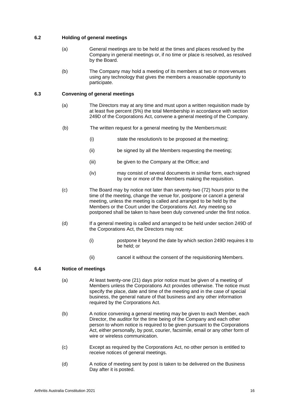# <span id="page-15-0"></span>**6.2 Holding of general meetings**

- (a) General meetings are to be held at the times and places resolved by the Company in general meetings or, if no time or place is resolved, as resolved by the Board.
- (b) The Company may hold a meeting of its members at two or morevenues using any technology that gives the members a reasonable opportunity to participate.

# <span id="page-15-1"></span>**6.3 Convening of general meetings**

- (a) The Directors may at any time and must upon a written requisition made by at least five percent (5%) the total Membership in accordance with section 249D of the Corporations Act, convene a general meeting of the Company.
- (b) The written request for a general meeting by the Membersmust:
	- (i) state the resolution/s to be proposed at themeeting;
	- (ii) be signed by all the Members requesting the meeting;
	- (iii) be given to the Company at the Office; and
	- (iv) may consist of several documents in similar form, each signed by one or more of the Members making the requisition.
- (c) The Board may by notice not later than seventy-two (72) hours prior to the time of the meeting, change the venue for, postpone or cancel a general meeting, unless the meeting is called and arranged to be held by the Members or the Court under the Corporations Act. Any meeting so postponed shall be taken to have been duly convened under the first notice.
- (d) If a general meeting is called and arranged to be held under section 249D of the Corporations Act, the Directors may not:
	- (i) postpone it beyond the date by which section 249D requires it to be held; or
	- (ii) cancel it without the consent of the requisitioning Members.

# <span id="page-15-2"></span>**6.4 Notice of meetings**

- (a) At least twenty-one (21) days prior notice must be given of a meeting of Members unless the Corporations Act provides otherwise. The notice must specify the place, date and time of the meeting and in the case of special business, the general nature of that business and any other information required by the Corporations Act.
- (b) A notice convening a general meeting may be given to each Member, each Director, the auditor for the time being of the Company and each other person to whom notice is required to be given pursuant to the Corporations Act, either personally, by post, courier, facsimile, email or any other form of wire or wireless communication.
- (c) Except as required by the Corporations Act, no other person is entitled to receive notices of general meetings.
- (d) A notice of meeting sent by post is taken to be delivered on the Business Day after it is posted.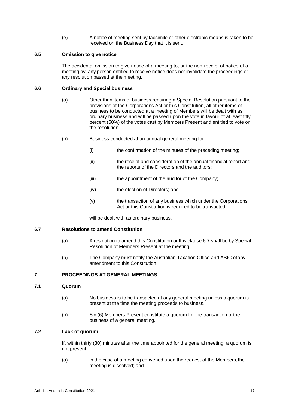(e) A notice of meeting sent by facsimile or other electronic means is taken to be received on the Business Day that it is sent.

#### <span id="page-16-0"></span>**6.5 Omission to give notice**

The accidental omission to give notice of a meeting to, or the non-receipt of notice of a meeting by, any person entitled to receive notice does not invalidate the proceedings or any resolution passed at the meeting.

#### <span id="page-16-1"></span>**6.6 Ordinary and Special business**

- (a) Other than items of business requiring a Special Resolution pursuant to the provisions of the Corporations Act or this Constitution, all other items of business to be conducted at a meeting of Members will be dealt with as ordinary business and will be passed upon the vote in favour of at least fifty percent (50%) of the votes cast by Members Present and entitled to vote on the resolution.
- (b) Business conducted at an annual general meeting for:
	- (i) the confirmation of the minutes of the preceding meeting;
	- (ii) the receipt and consideration of the annual financial report and the reports of the Directors and the auditors;
	- (iii) the appointment of the auditor of the Company;
	- (iv) the election of Directors; and
	- (v) the transaction of any business which under the Corporations Act or this Constitution is required to be transacted,

will be dealt with as ordinary business.

#### <span id="page-16-2"></span>**6.7 Resolutions to amend Constitution**

- (a) A resolution to amend this Constitution or this clause [6.7](#page-16-2) shall be by Special Resolution of Members Present at the meeting.
- (b) The Company must notify the Australian Taxation Office and ASIC ofany amendment to this Constitution.

# <span id="page-16-3"></span>**7. PROCEEDINGS AT GENERAL MEETINGS**

#### <span id="page-16-4"></span>**7.1 Quorum**

- (a) No business is to be transacted at any general meeting unless a quorum is present at the time the meeting proceeds to business.
- (b) Six (6) Members Present constitute a quorum for the transaction of the business of a general meeting.

# <span id="page-16-5"></span>**7.2 Lack of quorum**

If, within thirty (30) minutes after the time appointed for the general meeting, a quorum is not present:

(a) in the case of a meeting convened upon the request of the Members,the meeting is dissolved; and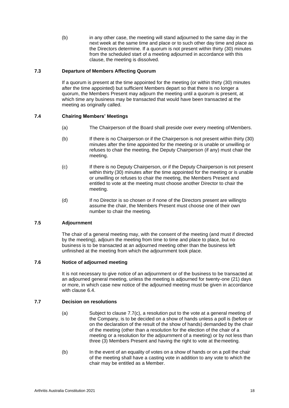(b) in any other case, the meeting will stand adjourned to the same day in the next week at the same time and place or to such other day time and place as the Directors determine. If a quorum is not present within thirty (30) minutes from the scheduled start of a meeting adjourned in accordance with this clause, the meeting is dissolved.

# <span id="page-17-0"></span>**7.3 Departure of Members Affecting Quorum**

If a quorum is present at the time appointed for the meeting (or within thirty (30) minutes after the time appointed) but sufficient Members depart so that there is no longer a quorum, the Members Present may adjourn the meeting until a quorum is present, at which time any business may be transacted that would have been transacted at the meeting as originally called.

# <span id="page-17-1"></span>**7.4 Chairing Members' Meetings**

- (a) The Chairperson of the Board shall preside over every meeting ofMembers.
- (b) If there is no Chairperson or if the Chairperson is not present within thirty (30) minutes after the time appointed for the meeting or is unable or unwilling or refuses to chair the meeting, the Deputy Chairperson (if any) must chair the meeting.
- (c) If there is no Deputy Chairperson, or if the Deputy Chairperson is not present within thirty (30) minutes after the time appointed for the meeting or is unable or unwilling or refuses to chair the meeting, the Members Present and entitled to vote at the meeting must choose another Director to chair the meeting.
- (d) If no Director is so chosen or if none of the Directors present are willingto assume the chair, the Members Present must choose one of their own number to chair the meeting.

# <span id="page-17-2"></span>**7.5 Adjournment**

The chair of a general meeting may, with the consent of the meeting (and must if directed by the meeting), adjourn the meeting from time to time and place to place, but no business is to be transacted at an adjourned meeting other than the business left unfinished at the meeting from which the adjournment took place.

#### <span id="page-17-3"></span>**7.6 Notice of adjourned meeting**

It is not necessary to give notice of an adjournment or of the business to be transacted at an adjourned general meeting, unless the meeting is adjourned for twenty-one (21) days or more, in which case new notice of the adjourned meeting must be given in accordance with clause [6.4.](#page-15-2)

# <span id="page-17-4"></span>**7.7 Decision on resolutions**

- (a) Subject to clause 7.7(c), a resolution put to the vote at a general meeting of the Company, is to be decided on a show of hands unless a poll is (before or on the declaration of the result of the show of hands) demanded by the chair of the meeting (other than a resolution for the election of the chair of a meeting or a resolution for the adjournment of a meeting) or by not less than three (3) Members Present and having the right to vote at themeeting.
- (b) In the event of an equality of votes on a show of hands or on a poll the chair of the meeting shall have a casting vote in addition to any vote to which the chair may be entitled as a Member.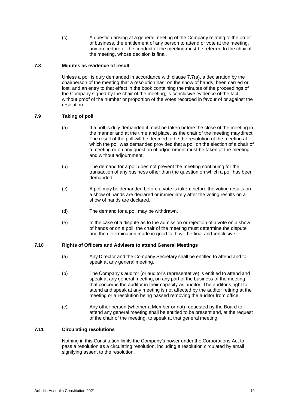(c) A question arising at a general meeting of the Company relating to the order of business, the entitlement of any person to attend or vote at the meeting, any procedure or the conduct of the meeting must be referred to the chairof the meeting, whose decision is final.

#### <span id="page-18-0"></span>**7.8 Minutes as evidence of result**

Unless a poll is duly demanded in accordance with clause 7.7(a), a declaration by the chairperson of the meeting that a resolution has, on the show of hands, been carried or lost, and an entry to that effect in the book containing the minutes of the proceedings of the Company signed by the chair of the meeting, is conclusive evidence of the fact, without proof of the number or proportion of the votes recorded in favour of or against the resolution.

# <span id="page-18-1"></span>**7.9 Taking of poll**

- (a) If a poll is duly demanded it must be taken before the close of the meeting in the manner and at the time and place, as the chair of the meeting maydirect. The result of the poll will be deemed to be the resolution of the meeting at which the poll was demanded provided that a poll on the election of a chair of a meeting or on any question of adjournment must be taken at the meeting and without adjournment.
- (b) The demand for a poll does not prevent the meeting continuing for the transaction of any business other than the question on which a poll has been demanded.
- (c) A poll may be demanded before a vote is taken, before the voting results on a show of hands are declared or immediately after the voting results on a show of hands are declared.
- (d) The demand for a poll may be withdrawn.
- (e) In the case of a dispute as to the admission or rejection of a vote on a show of hands or on a poll, the chair of the meeting must determine the dispute and the determination made in good faith will be final andconclusive.

#### <span id="page-18-2"></span>**7.10 Rights of Officers and Advisers to attend General Meetings**

- (a) Any Director and the Company Secretary shall be entitled to attend and to speak at any general meeting.
- (b) The Company's auditor (or auditor's representative) is entitled to attend and speak at any general meeting, on any part of the business of the meeting that concerns the auditor in their capacity as auditor. The auditor's right to attend and speak at any meeting is not affected by the auditor retiring at the meeting or a resolution being passed removing the auditor from office.
- (c) Any other person (whether a Member or not) requested by the Board to attend any general meeting shall be entitled to be present and, at the request of the chair of the meeting, to speak at that general meeting.

#### <span id="page-18-3"></span>**7.11 Circulating resolutions**

Nothing in this Constitution limits the Company's power under the Corporations Act to pass a resolution as a circulating resolution, including a resolution circulated by email signifying assent to the resolution.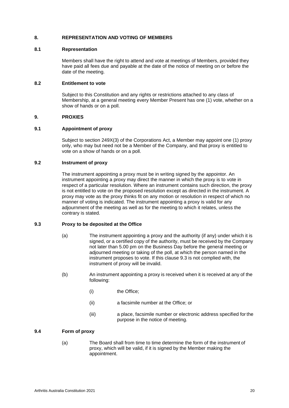# <span id="page-19-0"></span>**8. REPRESENTATION AND VOTING OF MEMBERS**

#### <span id="page-19-1"></span>**8.1 Representation**

Members shall have the right to attend and vote at meetings of Members, provided they have paid all fees due and payable at the date of the notice of meeting on or before the date of the meeting.

#### <span id="page-19-2"></span>**8.2 Entitlement to vote**

Subject to this Constitution and any rights or restrictions attached to any class of Membership, at a general meeting every Member Present has one (1) vote, whether on a show of hands or on a poll.

# <span id="page-19-3"></span>**9. PROXIES**

# <span id="page-19-4"></span>**9.1 Appointment of proxy**

Subject to section 249X(3) of the Corporations Act, a Member may appoint one (1) proxy only, who may but need not be a Member of the Company, and that proxy is entitled to vote on a show of hands or on a poll.

# <span id="page-19-5"></span>**9.2 Instrument of proxy**

The instrument appointing a proxy must be in writing signed by the appointor. An instrument appointing a proxy may direct the manner in which the proxy is to vote in respect of a particular resolution. Where an instrument contains such direction, the proxy is not entitled to vote on the proposed resolution except as directed in the instrument. A proxy may vote as the proxy thinks fit on any motion or resolution in respect of which no manner of voting is indicated. The instrument appointing a proxy is valid for any adjournment of the meeting as well as for the meeting to which it relates, unless the contrary is stated.

#### <span id="page-19-6"></span>**9.3 Proxy to be deposited at the Office**

- (a) The instrument appointing a proxy and the authority (if any) under which it is signed, or a certified copy of the authority, must be received by the Company not later than 5.00 pm on the Business Day before the general meeting or adjourned meeting or taking of the poll, at which the person named in the instrument proposes to vote. If this clause 9.3 is not complied with, the instrument of proxy will be invalid.
- (b) An instrument appointing a proxy is received when it is received at any of the following:
	- (i) the Office;
	- (ii) a facsimile number at the Office; or
	- (iii) a place, facsimile number or electronic address specified for the purpose in the notice of meeting.

# <span id="page-19-7"></span>**9.4 Form of proxy**

(a) The Board shall from time to time determine the form of the instrument of proxy, which will be valid, if it is signed by the Member making the appointment.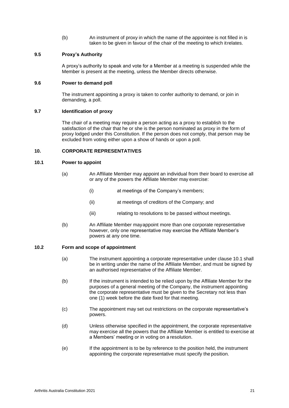(b) An instrument of proxy in which the name of the appointee is not filled in is taken to be given in favour of the chair of the meeting to which itrelates.

#### <span id="page-20-0"></span>**9.5 Proxy's Authority**

A proxy's authority to speak and vote for a Member at a meeting is suspended while the Member is present at the meeting, unless the Member directs otherwise.

#### <span id="page-20-1"></span>**9.6 Power to demand poll**

The instrument appointing a proxy is taken to confer authority to demand, or join in demanding, a poll.

#### <span id="page-20-2"></span>**9.7 Identification of proxy**

The chair of a meeting may require a person acting as a proxy to establish to the satisfaction of the chair that he or she is the person nominated as proxy in the form of proxy lodged under this Constitution. If the person does not comply, that person may be excluded from voting either upon a show of hands or upon a poll.

#### <span id="page-20-3"></span>**10. CORPORATE REPRESENTATIVES**

# <span id="page-20-4"></span>**10.1 Power to appoint**

- (a) An Affiliate Member may appoint an individual from their board to exercise all or any of the powers the Affiliate Member may exercise:
	- (i) at meetings of the Company's members;
	- (ii) at meetings of creditors of the Company; and
	- (iii) relating to resolutions to be passed without meetings.
- (b) An Affiliate Member mayappoint more than one corporate representative however, only one representative may exercise the Affiliate Member's powers at any one time.

# <span id="page-20-5"></span>**10.2 Form and scope of appointment**

- (a) The instrument appointing a corporate representative under clause 10.1 shall be in writing under the name of the Affiliate Member, and must be signed by an authorised representative of the Affiliate Member.
- (b) If the instrument is intended to be relied upon by the Affiliate Member for the purposes of a general meeting of the Company, the instrument appointing the corporate representative must be given to the Secretary not less than one (1) week before the date fixed for that meeting.
- (c) The appointment may set out restrictions on the corporate representative's powers.
- (d) Unless otherwise specified in the appointment, the corporate representative may exercise all the powers that the Affiliate Member is entitled to exercise at a Members' meeting or in voting on a resolution.
- (e) If the appointment is to be by reference to the position held, the instrument appointing the corporate representative must specify the position.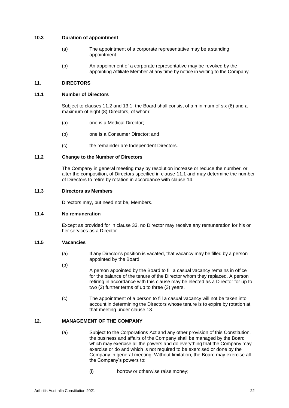# <span id="page-21-0"></span>**10.3 Duration of appointment**

- (a) The appointment of a corporate representative may be astanding appointment.
- (b) An appointment of a corporate representative may be revoked by the appointing Affiliate Member at any time by notice in writing to the Company.

# <span id="page-21-1"></span>**11. DIRECTORS**

# <span id="page-21-2"></span>**11.1 Number of Directors**

Subject to clauses [11.2 a](#page-21-3)nd [13.1, t](#page-22-1)he Board shall consist of a minimum of six (6) and a maximum of eight (8) Directors, of whom:

- (a) one is a Medical Director;
- (b) one is a Consumer Director; and
- (c) the remainder are Independent Directors.

# <span id="page-21-3"></span>**11.2 Change to the Number of Directors**

The Company in general meeting may by resolution increase or reduce the number, or alter the composition, of Directors specified in clause [11.1 a](#page-21-2)nd may determine the number of Directors to retire by rotation in accordance with clause [14.](#page-24-2)

# <span id="page-21-4"></span>**11.3 Directors as Members**

Directors may, but need not be, Members.

#### <span id="page-21-5"></span>**11.4 No remuneration**

Except as provided for in clause [33, n](#page-43-1)o Director may receive any remuneration for his or her services as a Director.

# <span id="page-21-6"></span>**11.5 Vacancies**

- (a) If any Director's position is vacated, that vacancy may be filled by a person appointed by the Board.
- (b) A person appointed by the Board to fill a casual vacancy remains in office for the balance of the tenure of the Director whom they replaced. A person retiring in accordance with this clause may be elected as a Director for up to two (2) further terms of up to three (3) years.
- (c) The appointment of a person to fill a casual vacancy will not be taken into account in determining the Directors whose tenure is to expire by rotation at that meeting under clause [13.](#page-22-0)

# <span id="page-21-7"></span>**12. MANAGEMENT OF THE COMPANY**

- (a) Subject to the Corporations Act and any other provision of this Constitution, the business and affairs of the Company shall be managed by the Board which may exercise all the powers and do everything that the Company may exercise or do and which is not required to be exercised or done by the Company in general meeting. Without limitation, the Board may exercise all the Company's powers to:
	- (i) borrow or otherwise raise money;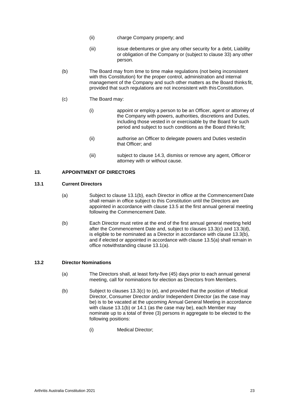- (ii) charge Company property; and
- (iii) issue debentures or give any other security for a debt, Liability or obligation of the Company or (subject to clause [33\)](#page-43-1) any other person.
- <span id="page-22-3"></span>(b) The Board may from time to time make regulations (not being inconsistent with this Constitution) for the proper control, administration and internal management of the Company and such other matters as the Board thinks fit, provided that such regulations are not inconsistent with thisConstitution.
- (c) The Board may:
	- (i) appoint or employ a person to be an Officer, agent or attorney of the Company with powers, authorities, discretions and Duties, including those vested in or exercisable by the Board for such period and subject to such conditions as the Board thinks fit;
	- (ii) authorise an Officer to delegate powers and Duties vestedin that Officer; and
	- (iii) subject to clause [14.3, d](#page-25-1)ismiss or remove any agent, Officer or attorney with or without cause.

# <span id="page-22-0"></span>**13. APPOINTMENT OF DIRECTORS**

# <span id="page-22-4"></span><span id="page-22-1"></span>**13.1 Current Directors**

- (a) Subject to clause 13.1(b), each Director in office at the Commencement Date shall remain in office subject to this Constitution until the Directors are appointed in accordance with clause [13.5 a](#page-24-1)t the first annual general meeting following the Commencement Date.
- <span id="page-22-5"></span>(b) Each Director must retire at the end of the first annual general meeting held after the Commencement Date and, subject to clauses 13.3(c) and 13.3(d), is eligible to be nominated as a Director in accordance with clause 13.3(b), and if elected or appointed in accordance with clause 13.5(a) shall remain in office notwithstanding clause 13.[1\(a\).](#page-22-4)

#### <span id="page-22-6"></span><span id="page-22-2"></span>**13.2 Director Nominations**

- (a) The Directors shall, at least forty-five (45) days prior to each annual general meeting, call for nominations for election as Directors from Members.
- (b) Subject to clauses [13.3\(c\) t](#page-22-2)o [\(e\), a](#page-23-0)nd provided that the position of Medical Director, Consumer Director and/or Independent Director (as the case may be) is to be vacated at the upcoming Annual General Meeting in accordance with clause [13.1\(b\) o](#page-22-5)r [14.1 \(](#page-24-3)as the case may be), each Member may nominate up to a total of three (3) persons in aggregate to be elected to the following positions:
	- (i) Medical Director;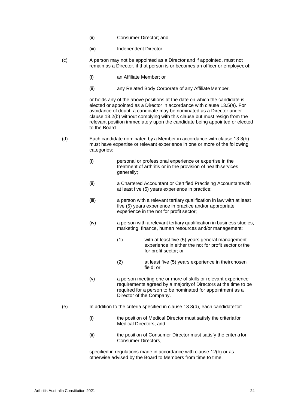- (ii) Consumer Director; and
- (iii) Independent Director.
- (c) A person may not be appointed as a Director and if appointed, must not remain as a Director, if that person is or becomes an officer or employeeof:
	- (i) an Affiliate Member; or
	- (ii) any Related Body Corporate of any Affiliate Member.

or holds any of the above positions at the date on which the candidate is elected or appointed as a Director in accordance with clause [13.5\(a\).](#page-24-4) For avoidance of doubt, a candidate may be nominated as a Director under clause [13.2\(b\) w](#page-22-6)ithout complying with this clause but must resign from the relevant position immediately upon the candidate being appointed or elected to the Board.

- (d) Each candidate nominated by a Member in accordance with clause [13.3\(b\)](#page-22-2) must have expertise or relevant experience in one or more of the following categories:
	- (i) personal or professional experience or expertise in the treatment of arthritis or in the provision of health services generally;
	- (ii) a Chartered Accountant or Certified Practising Accountantwith at least five (5) years experience in practice;
	- (iii) a person with a relevant tertiary qualification in law with at least five (5) years experience in practice and/or appropriate experience in the not for profit sector;
	- (iv) a person with a relevant tertiary qualification in business studies, marketing, finance, human resources and/or management:
		- (1) with at least five (5) years general management experience in either the not for profit sector orthe for profit sector; or
		- (2) at least five (5) years experience in theirchosen field; or
	- (v) a person meeting one or more of skills or relevant experience requirements agreed by a majorityof Directors at the time to be required for a person to be nominated for appointment as a Director of the Company.
- <span id="page-23-0"></span> $(e)$  In addition to the criteria specified in clause [13.3\(d\), e](#page-22-2)ach candidate for:
	- (i) the position of Medical Director must satisfy the criteriafor Medical Directors; and
	- (ii) the position of Consumer Director must satisfy the criteria for Consumer Directors,

specified in regulations made in accordance with clause [12\(b\) o](#page-22-3)r as otherwise advised by the Board to Members from time to time.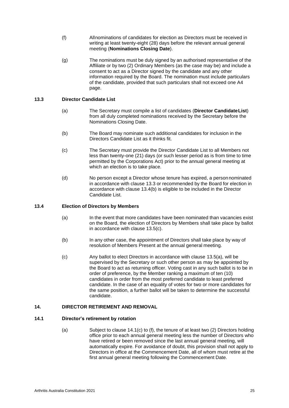- (f) Allnominations of candidates for election as Directors must be received in writing at least twenty-eight (28) days before the relevant annual general meeting (**Nominations Closing Date**).
- (g) The nominations must be duly signed by an authorised representative of the Affiliate or by two (2) Ordinary Members (as the case may be) and include a consent to act as a Director signed by the candidate and any other information required by the Board. The nomination must include particulars of the candidate, provided that such particulars shall not exceed one A4 page.

# <span id="page-24-0"></span>**13.3 Director Candidate List**

- (a) The Secretary must compile a list of candidates (**Director CandidateList**) from all duly completed nominations received by the Secretary before the Nominations Closing Date.
- (b) The Board may nominate such additional candidates for inclusion in the Directors Candidate List as it thinks fit.
- (c) The Secretary must provide the Director Candidate List to all Members not less than twenty-one (21) days (or such lesser period as is from time to time permitted by the Corporations Act) prior to the annual general meeting at which an election is to take place.
- (d) No person except a Director whose tenure has expired, a personnominated in accordance with clause [13.3](#page-22-2) or recommended by the Board for election in accordance with clause [13.4\(b\) is](#page-24-0) eligible to be included in the Director Candidate List.

#### <span id="page-24-4"></span><span id="page-24-1"></span>**13.4 Election of Directors by Members**

- (a) In the event that more candidates have been nominated than vacancies exist on the Board, the election of Directors by Members shall take place by ballot in accordance with clause [13.5\(c\).](#page-24-1)
- (b) In any other case, the appointment of Directors shall take place by way of resolution of Members Present at the annual general meeting.
- (c) Any ballot to elect Directors in accordance with clause [13.5\(a\),](#page-24-1) will be supervised by the Secretary or such other person as may be appointed by the Board to act as returning officer. Voting cast in any such ballot is to be in order of preference, by the Member ranking a maximum of ten (10) candidates in order from the most preferred candidate to least preferred candidate. In the case of an equality of votes for two or more candidates for the same position, a further ballot will be taken to determine the successful candidate.

#### <span id="page-24-2"></span>**14. DIRECTOR RETIREMENT AND REMOVAL**

#### <span id="page-24-3"></span>**14.1 Director's retirement by rotation**

(a) Subject to clause [14.1\(c\)](#page-24-3) to [\(f\),](#page-25-2) the tenure of at least two (2) Directors holding office prior to each annual general meeting less the number of Directors who have retired or been removed since the last annual general meeting, will automatically expire. For avoidance of doubt, this provision shall not apply to Directors in office at the Commencement Date, all of whom must retire at the first annual general meeting following the Commencement Date.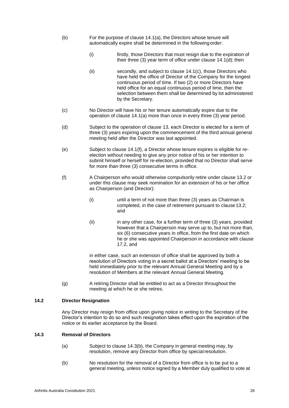- (b) For the purpose of clause [14.1\(a\),](#page-24-3) the Directors whose tenure will automatically expire shall be determined in the followingorder:
	- (i) firstly, those Directors that must resign due to the expiration of their three (3) year term of office under clause [14.1\(d\);](#page-24-3) then
	- (ii) secondly, and subject to clause [14.1\(c\), t](#page-24-3)hose Directors who have held the office of Director of the Company for the longest continuous period of time. If two (2) or more Directors have held office for an equal continuous period of time, then the selection between them shall be determined by lot administered by the Secretary.
- (c) No Director will have his or her tenure automatically expire due to the operation of clause [14.1\(a\)](#page-24-3) more than once in every three (3) year period.
- (d) Subject to the operation of clause [13, e](#page-22-0)ach Director is elected for a term of three (3) years expiring upon the commencement of the third annual general meeting held after the Director was last appointed.
- (e) Subject to clause [14.1\(f\), a](#page-24-3) Director whose tenure expires is eligible for reelection without needing to give any prior notice of his or her intention to submit himself or herself for re-election, provided that no Director shall serve for more than three (3) consecutive terms in office.
- <span id="page-25-2"></span>(f) A Chairperson who would otherwise compulsorily retire under clause [13.2](#page-22-6) or under this clause may seek nomination for an extension of his or her office as Chairperson (and Director):
	- (i) until a term of not more than three (3) years as Chairman is completed, in the case of retirement pursuant to clause 13.2; and
	- (ii) in any other case, for a further term of three (3) years, provided however that a Chairperson may serve up to, but not more than, six (6) consecutive years in office, from the first date on which he or she was appointed Chairperson in accordance with clause [17.2,](#page-29-4) and

in either case, such an extension of office shall be approved by both a resolution of Directors voting in a secret ballot at a Directors' meeting to be held immediately prior to the relevant Annual General Meeting and by a resolution of Members at the relevant Annual General Meeting.

(g) A retiring Director shall be entitled to act as a Director throughout the meeting at which he or she retires.

#### <span id="page-25-0"></span>**14.2 Director Resignation**

Any Director may resign from office upon giving notice in writing to the Secretary of the Director's intention to do so and such resignation takes effect upon the expiration of the notice or its earlier acceptance by the Board.

# <span id="page-25-1"></span>**14.3 Removal of Directors**

- (a) Subject to clause 14.3(b), the Company in general meeting may, by resolution, remove any Director from office by special resolution.
- (b) No resolution for the removal of a Director from office is to be put to a general meeting, unless notice signed by a Member duly qualified to vote at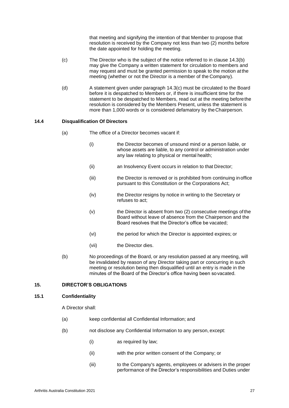that meeting and signifying the intention of that Member to propose that resolution is received by the Company not less than two (2) months before the date appointed for holding the meeting.

- (c) The Director who is the subject of the notice referred to in clause 14.3(b) may give the Company a written statement for circulation to members and may request and must be granted permission to speak to the motion atthe meeting (whether or not the Director is a member of the Company).
- (d) A statement given under paragraph 14.3(c) must be circulated to the Board before it is despatched to Members or, if there is insufficient time for the statement to be despatched to Members, read out at the meeting beforethe resolution is considered by the Members Present, unless the statement is more than 1,000 words or is considered defamatory by theChairperson.

# <span id="page-26-0"></span>**14.4 Disqualification Of Directors**

- (a) The office of a Director becomes vacant if:
	- (i) the Director becomes of unsound mind or a person liable, or whose assets are liable, to any control or administration under any law relating to physical or mental health;
	- (ii) an Insolvency Event occurs in relation to that Director;
	- (iii) the Director is removed or is prohibited from continuing inoffice pursuant to this Constitution or the Corporations Act;
	- (iv) the Director resigns by notice in writing to the Secretary or refuses to act;
	- (v) the Director is absent from two (2) consecutive meetings of the Board without leave of absence from the Chairperson and the Board resolves that the Director's office be vacated;
	- (vi) the period for which the Director is appointed expires; or
	- (vii) the Director dies.
- (b) No proceedings of the Board, or any resolution passed at any meeting, will be invalidated by reason of any Director taking part or concurring in such meeting or resolution being then disqualified until an entry is made in the minutes of the Board of the Director's office having been sovacated.

# <span id="page-26-1"></span>**15. DIRECTOR'S OBLIGATIONS**

#### <span id="page-26-2"></span>**15.1 Confidentiality**

A Director shall:

- (a) keep confidential all Confidential Information; and
- (b) not disclose any Confidential Information to any person, except:
	- (i) as required by law;
		- (ii) with the prior written consent of the Company; or
		- (iii) to the Company's agents, employees or advisers in the proper performance of the Director's responsibilities and Duties under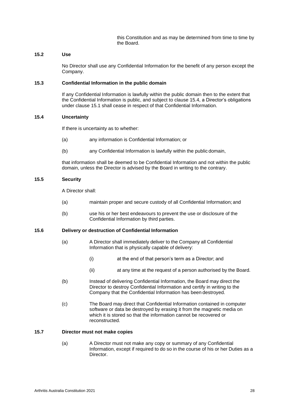this Constitution and as may be determined from time to time by the Board.

#### <span id="page-27-0"></span>**15.2 Use**

No Director shall use any Confidential Information for the benefit of any person except the Company.

#### <span id="page-27-1"></span>**15.3 Confidential Information in the public domain**

If any Confidential Information is lawfully within the public domain then to the extent that the Confidential Information is public, and subject to clause [15.4, a](#page-27-2) Director's obligations under clause [15.1 s](#page-26-2)hall cease in respect of that Confidential Information.

# <span id="page-27-2"></span>**15.4 Uncertainty**

If there is uncertainty as to whether:

- (a) any information is Confidential Information; or
- (b) any Confidential Information is lawfully within the public domain,

that information shall be deemed to be Confidential Information and not within the public domain, unless the Director is advised by the Board in writing to the contrary.

# <span id="page-27-3"></span>**15.5 Security**

A Director shall:

- (a) maintain proper and secure custody of all Confidential Information; and
- (b) use his or her best endeavours to prevent the use or disclosure of the Confidential Information by third parties.

# <span id="page-27-4"></span>**15.6 Delivery or destruction of Confidential Information**

- (a) A Director shall immediately deliver to the Company all Confidential Information that is physically capable of delivery:
	- (i) at the end of that person's term as a Director; and
	- (ii) at any time at the request of a person authorised by the Board.
- (b) Instead of delivering Confidential Information, the Board may direct the Director to destroy Confidential Information and certify in writing to the Company that the Confidential Information has been destroyed.
- (c) The Board may direct that Confidential Information contained in computer software or data be destroyed by erasing it from the magnetic media on which it is stored so that the information cannot be recovered or reconstructed.

# <span id="page-27-5"></span>**15.7 Director must not make copies**

(a) A Director must not make any copy or summary of any Confidential Information, except if required to do so in the course of his or her Duties as a **Director**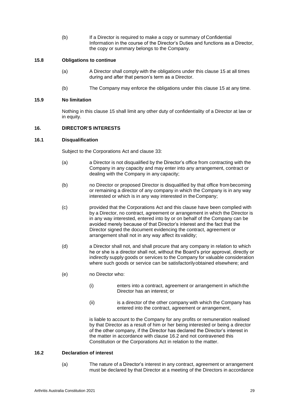(b) If a Director is required to make a copy or summary of Confidential Information in the course of the Director's Duties and functions as a Director, the copy or summary belongs to the Company.

#### <span id="page-28-0"></span>**15.8 Obligations to continue**

- (a) A Director shall comply with the obligations under this clause [15](#page-26-1) at all times during and after that person's term as a Director.
- (b) The Company may enforce the obligations under this clause [15](#page-26-1) at any time.

# <span id="page-28-1"></span>**15.9 No limitation**

Nothing in this clause [15 s](#page-26-1)hall limit any other duty of confidentiality of a Director at law or in equity.

# <span id="page-28-2"></span>**16. DIRECTOR'S INTERESTS**

#### <span id="page-28-3"></span>**16.1 Disqualification**

Subject to the Corporations Act and clause [33:](#page-43-1)

- (a) a Director is not disqualified by the Director's office from contracting with the Company in any capacity and may enter into any arrangement, contract or dealing with the Company in any capacity;
- (b) no Director or proposed Director is disqualified by that office frombecoming or remaining a director of any company in which the Company is in any way interested or which is in any way interested in theCompany;
- (c) provided that the Corporations Act and this clause have been complied with by a Director, no contract, agreement or arrangement in which the Director is in any way interested, entered into by or on behalf of the Company can be avoided merely because of that Director's interest and the fact that the Director signed the document evidencing the contract, agreement or arrangement shall not in any way affect its validity;
- (d) a Director shall not, and shall procure that any company in relation to which he or she is a director shall not, without the Board's prior approval, directly or indirectly supply goods or services to the Company for valuable consideration where such goods or service can be satisfactorilyobtained elsewhere; and
- (e) no Director who:
	- (i) enters into a contract, agreement or arrangement in whichthe Director has an interest; or
	- (ii) is a director of the other company with which the Company has entered into the contract, agreement or arrangement,

is liable to account to the Company for any profits or remuneration realised by that Director as a result of him or her being interested or being a director of the other company, if the Director has declared the Director's interest in the matter in accordance with clause [16.2 a](#page-28-4)nd not contravened this Constitution or the Corporations Act in relation to the matter.

# <span id="page-28-4"></span>**16.2 Declaration of interest**

(a) The nature of a Director's interest in any contract, agreement or arrangement must be declared by that Director at a meeting of the Directors in accordance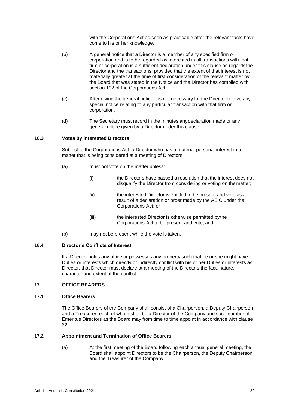with the Corporations Act as soon as practicable after the relevant facts have come to his or her knowledge.

- (b) A general notice that a Director is a member of any specified firm or corporation and is to be regarded as interested in all transactions with that firm or corporation is a sufficient declaration under this clause as regards the Director and the transactions, provided that the extent of that interest is not materially greater at the time of first consideration of the relevant matter by the Board that was stated in the Notice and the Director has complied with section 192 of the Corporations Act.
- (c) After giving the general notice it is not necessary for the Director to give any special notice relating to any particular transaction with that firm or corporation.
- (d) The Secretary must record in the minutes anydeclaration made or any general notice given by a Director under this clause.

#### <span id="page-29-0"></span>**16.3 Votes by interested Directors**

Subject to the Corporations Act, a Director who has a material personal interest in a matter that is being considered at a meeting of Directors:

- (a) must not vote on the matter unless:
	- (i) the Directors have passed a resolution that the interest does not disqualify the Director from considering or voting on thematter;
	- (ii) the interested Director is entitled to be present and vote as a result of a declaration or order made by the ASIC under the Corporations Act; or
	- (iii) the interested Director is otherwise permitted bythe Corporations Act to be present and vote; and
- (b) may not be present while the vote is taken.

#### <span id="page-29-1"></span>**16.4 Director's Conflicts of Interest**

If a Director holds any office or possesses any property such that he or she might have Duties or interests which directly or indirectly conflict with his or her Duties or interests as Director, that Director must declare at a meeting of the Directors the fact, nature, character and extent of the conflict.

# <span id="page-29-2"></span>**17. OFFICE BEARERS**

#### <span id="page-29-3"></span>**17.1 Office Bearers**

The Office Bearers of the Company shall consist of a Chairperson, a Deputy Chairperson and a Treasurer, each of whom shall be a Director of the Company and such number of Emeritus Directors as the Board may from time to time appoint in accordance with clause [22.](#page-37-0)

### <span id="page-29-4"></span>**17.2 Appointment and Termination of Office Bearers**

(a) At the first meeting of the Board following each annual general meeting, the Board shall appoint Directors to be the Chairperson, the Deputy Chairperson and the Treasurer of the Company.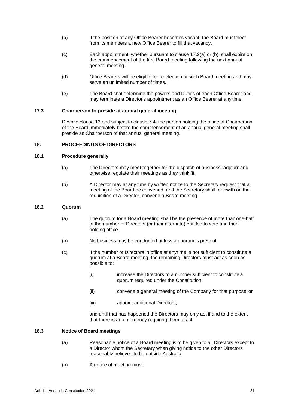- <span id="page-30-5"></span>(b) If the position of any Office Bearer becomes vacant, the Board mustelect from its members a new Office Bearer to fill that vacancy.
- (c) Each appointment, whether pursuant to clause [17.2\(a\)](#page-29-4) or [\(b\),](#page-30-5) shall expire on the commencement of the first Board meeting following the next annual general meeting.
- (d) Office Bearers will be eligible for re-election at such Board meeting and may serve an unlimited number of times.
- (e) The Board shalldetermine the powers and Duties of each Office Bearer and may terminate a Director's appointment as an Office Bearer at any time.

## <span id="page-30-0"></span>**17.3 Chairperson to preside at annual general meeting**

Despite clause [13 a](#page-22-0)nd subject to clause 7.4, the person holding the office of Chairperson of the Board immediately before the commencement of an annual general meeting shall preside as Chairperson of that annual general meeting.

#### <span id="page-30-1"></span>**18. PROCEEDINGS OF DIRECTORS**

#### <span id="page-30-2"></span>**18.1 Procedure generally**

- (a) The Directors may meet together for the dispatch of business, adjourn and otherwise regulate their meetings as they think fit.
- (b) A Director may at any time by written notice to the Secretary request that a meeting of the Board be convened, and the Secretary shall forthwith on the requisition of a Director, convene a Board meeting.

#### <span id="page-30-3"></span>**18.2 Quorum**

- (a) The quorum for a Board meeting shall be the presence of more than one-half of the number of Directors (or their alternate) entitled to vote and then holding office.
- (b) No business may be conducted unless a quorum is present.
- (c) If the number of Directors in office at anytime is not sufficient to constitute a quorum at a Board meeting, the remaining Directors must act as soon as possible to:
	- (i) increase the Directors to a number sufficient to constitute a quorum required under the Constitution;
	- (ii) convene a general meeting of the Company for that purpose;or
	- (iii) appoint additional Directors,

and until that has happened the Directors may only act if and to the extent that there is an emergency requiring them to act.

# <span id="page-30-4"></span>**18.3 Notice of Board meetings**

- (a) Reasonable notice of a Board meeting is to be given to all Directors except to a Director whom the Secretary when giving notice to the other Directors reasonably believes to be outside Australia.
- (b) A notice of meeting must: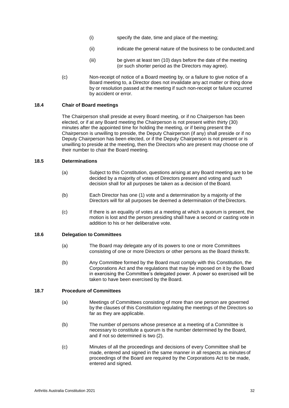- (i) specify the date, time and place of the meeting;
- (ii) indicate the general nature of the business to be conducted;and
- (iii) be given at least ten (10) days before the date of the meeting (or such shorter period as the Directors may agree).
- (c) Non-receipt of notice of a Board meeting by, or a failure to give notice of a Board meeting to, a Director does not invalidate any act matter or thing done by or resolution passed at the meeting if such non-receipt or failure occurred by accident or error.

# <span id="page-31-0"></span>**18.4 Chair of Board meetings**

The Chairperson shall preside at every Board meeting, or if no Chairperson has been elected, or if at any Board meeting the Chairperson is not present within thirty (30) minutes after the appointed time for holding the meeting, or if being present the Chairperson is unwilling to preside, the Deputy Chairperson (if any) shall preside or if no Deputy Chairperson has been elected, or if the Deputy Chairperson is not present or is unwilling to preside at the meeting, then the Directors who are present may choose one of their number to chair the Board meeting.

# <span id="page-31-1"></span>**18.5 Determinations**

- (a) Subject to this Constitution, questions arising at any Board meeting are to be decided by a majority of votes of Directors present and voting and such decision shall for all purposes be taken as a decision of the Board.
- (b) Each Director has one (1) vote and a determination by a majority of the Directors will for all purposes be deemed a determination of theDirectors.
- (c) If there is an equality of votes at a meeting at which a quorum is present, the motion is lost and the person presiding shall have a second or casting vote in addition to his or her deliberative vote.

#### <span id="page-31-2"></span>**18.6 Delegation to Committees**

- (a) The Board may delegate any of its powers to one or more Committees consisting of one or more Directors or other persons as the Board thinks fit.
- (b) Any Committee formed by the Board must comply with this Constitution, the Corporations Act and the regulations that may be imposed on it by the Board in exercising the Committee's delegated power. A power so exercised will be taken to have been exercised by the Board.

# <span id="page-31-3"></span>**18.7 Procedure of Committees**

- (a) Meetings of Committees consisting of more than one person are governed by the clauses of this Constitution regulating the meetings of the Directors so far as they are applicable.
- (b) The number of persons whose presence at a meeting of a Committee is necessary to constitute a quorum is the number determined by the Board, and if not so determined is two (2).
- (c) Minutes of all the proceedings and decisions of every Committee shall be made, entered and signed in the same manner in all respects as minutes of proceedings of the Board are required by the Corporations Act to be made, entered and signed.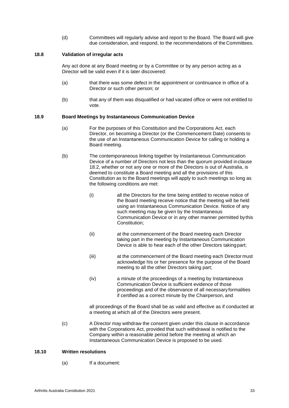(d) Committees will regularly advise and report to the Board. The Board will give due consideration, and respond, to the recommendations of the Committees.

#### <span id="page-32-0"></span>**18.8 Validation of irregular acts**

Any act done at any Board meeting or by a Committee or by any person acting as a Director will be valid even if it is later discovered:

- (a) that there was some defect in the appointment or continuance in office of a Director or such other person; or
- (b) that any of them was disqualified or had vacated office or were not entitled to vote.

#### <span id="page-32-1"></span>**18.9 Board Meetings by Instantaneous Communication Device**

- (a) For the purposes of this Constitution and the Corporations Act, each Director, on becoming a Director (or the Commencement Date) consents to the use of an Instantaneous Communication Device for calling or holding a Board meeting.
- (b) The contemporaneous linking together by Instantaneous Communication Device of a number of Directors not less than the quorum provided inclause [18.2, w](#page-30-3)hether or not any one or more of the Directors is out of Australia, is deemed to constitute a Board meeting and all the provisions of this Constitution as to the Board meetings will apply to such meetings so long as the following conditions are met:
	- (i) all the Directors for the time being entitled to receive notice of the Board meeting receive notice that the meeting will be held using an Instantaneous Communication Device. Notice of any such meeting may be given by the Instantaneous Communication Device or in any other manner permitted bythis Constitution;
	- (ii) at the commencement of the Board meeting each Director taking part in the meeting by Instantaneous Communication Device is able to hear each of the other Directors takingpart;
	- (iii) at the commencement of the Board meeting each Director must acknowledge his or her presence for the purpose of the Board meeting to all the other Directors taking part;
	- (iv) a minute of the proceedings of a meeting by Instantaneous Communication Device is sufficient evidence of those proceedings and of the observance of all necessaryformalities if certified as a correct minute by the Chairperson, and

all proceedings of the Board shall be as valid and effective as if conducted at a meeting at which all of the Directors were present.

(c) A Director may withdraw the consent given under this clause in accordance with the Corporations Act, provided that such withdrawal is notified to the Company within a reasonable period before the meeting at which an Instantaneous Communication Device is proposed to be used.

#### <span id="page-32-2"></span>**18.10 Written resolutions**

(a) If a document: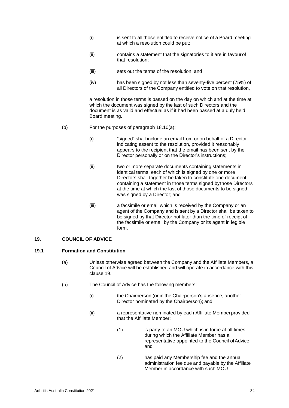- (i) is sent to all those entitled to receive notice of a Board meeting at which a resolution could be put;
- (ii) contains a statement that the signatories to it are in favourof that resolution;
- (iii) sets out the terms of the resolution; and
- (iv) has been signed by not less than seventy-five percent (75%) of all Directors of the Company entitled to vote on that resolution,

a resolution in those terms is passed on the day on which and at the time at which the document was signed by the last of such Directors and the document is as valid and effectual as if it had been passed at a duly held Board meeting.

- (b) For the purposes of paragraph [18.10\(](#page-32-2)a):
	- (i) "signed" shall include an email from or on behalf of a Director indicating assent to the resolution, provided it reasonably appears to the recipient that the email has been sent by the Director personally or on the Director's instructions;
	- (ii) two or more separate documents containing statements in identical terms, each of which is signed by one or more Directors shall together be taken to constitute one document containing a statement in those terms signed bythose Directors at the time at which the last of those documents to be signed was signed by a Director; and
	- (iii) a facsimile or email which is received by the Company or an agent of the Company and is sent by a Director shall be taken to be signed by that Director not later than the time of receipt of the facsimile or email by the Company or its agent in legible form.

#### <span id="page-33-0"></span>**19. COUNCIL OF ADVICE**

#### <span id="page-33-1"></span>**19.1 Formation and Constitution**

- (a) Unless otherwise agreed between the Company and the Affiliate Members, a Council of Advice will be established and will operate in accordance with this clause [19.](#page-33-0)
- <span id="page-33-2"></span>(b) The Council of Advice has the following members:
	- (i) the Chairperson (or in the Chairperson's absence, another Director nominated by the Chairperson); and
	- (ii) a representative nominated by each Affiliate Memberprovided that the Affiliate Member:
		- (1) is party to an MOU which is in force at all times during which the Affiliate Member has a representative appointed to the Council of Advice; and
		- (2) has paid any Membership fee and the annual administration fee due and payable by the Affiliate Member in accordance with such MOU.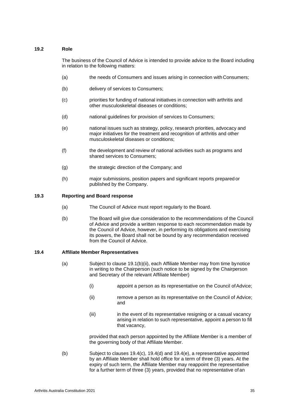# <span id="page-34-0"></span>**19.2 Role**

The business of the Council of Advice is intended to provide advice to the Board including in relation to the following matters:

- (a) the needs of Consumers and issues arising in connection with Consumers;
- (b) delivery of services to Consumers;
- (c) priorities for funding of national initiatives in connection with arthritis and other musculoskeletal diseases or conditions;
- (d) national guidelines for provision of services to Consumers;
- (e) national issues such as strategy, policy, research priorities, advocacy and major initiatives for the treatment and recognition of arthritis and other musculoskeletal diseases or conditions;
- (f) the development and review of national activities such as programs and shared services to Consumers;
- (g) the strategic direction of the Company; and
- (h) major submissions, position papers and significant reports prepared or published by the Company.

#### <span id="page-34-1"></span>**19.3 Reporting and Board response**

- (a) The Council of Advice must report regularly to the Board.
- (b) The Board will give due consideration to the recommendations of the Council of Advice and provide a written response to each recommendation made by the Council of Advice, however, in performing its obligations and exercising its powers, the Board shall not be bound by any recommendation received from the Council of Advice.

#### <span id="page-34-2"></span>**19.4 Affiliate Member Representatives**

- (a) Subject to clause [19.1\(b\)\(ii\), e](#page-33-2)ach Affiliate Member may from time bynotice in writing to the Chairperson (such notice to be signed by the Chairperson and Secretary of the relevant Affiliate Member)
	- (i) appoint a person as its representative on the Council ofAdvice;
	- (ii) remove a person as its representative on the Council of Advice; and
	- (iii) in the event of its representative resigning or a casual vacancy arising in relation to such representative, appoint a person to fill that vacancy,

provided that each person appointed by the Affiliate Member is a member of the governing body of that Affiliate Member.

(b) Subject to clauses [19.4\(c\),](#page-35-2) [19.4\(d\)](#page-35-3) and [19.4\(e\),](#page-35-4) a representative appointed by an Affiliate Member shall hold office for a term of three (3) years. At the expiry of such term, the Affiliate Member may reappoint the representative for a further term of three (3) years, provided that no representative of an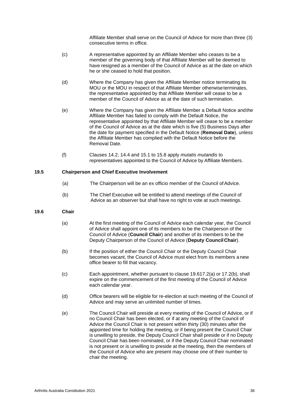Affiliate Member shall serve on the Council of Advice for more than three (3) consecutive terms in office.

- <span id="page-35-2"></span>(c) A representative appointed by an Affiliate Member who ceases to be a member of the governing body of that Affiliate Member will be deemed to have resigned as a member of the Council of Advice as at the date on which he or she ceased to hold that position.
- <span id="page-35-3"></span>(d) Where the Company has given the Affiliate Member notice terminating its MOU or the MOU in respect of that Affiliate Member otherwiseterminates, the representative appointed by that Affiliate Member will cease to be a member of the Council of Advice as at the date of such termination.
- <span id="page-35-4"></span>(e) Where the Company has given the Affiliate Member a Default Notice andthe Affiliate Member has failed to comply with the Default Notice, the representative appointed by that Affiliate Member will cease to be a member of the Council of Advice as at the date which is five (5) Business Days after the date for payment specified in the Default Notice (**Removal Date**), unless the Affiliate Member has complied with the Default Notice before the Removal Date.
- (f) Clauses [14.2,](#page-25-0) [14.4 a](#page-26-0)nd [15.1 t](#page-26-2)o [15.8 a](#page-28-0)pply *mutatis mutandis* to representatives appointed to the Council of Advice by Affiliate Members.

# <span id="page-35-0"></span>**19.5 Chairperson and Chief Executive Involvement**

- (a) The Chairperson will be an ex officio member of the Council ofAdvice.
- (b) The Chief Executive will be entitled to attend meetings of the Council of Advice as an observer but shall have no right to vote at such meetings.

# <span id="page-35-1"></span>**19.6 Chair**

- (a) At the first meeting of the Council of Advice each calendar year, the Council of Advice shall appoint one of its members to be the Chairperson of the Council of Advice (**Council Chair**) and another of its members to be the Deputy Chairperson of the Council of Advice (**Deputy CouncilChair**).
- (b) If the position of either the Council Chair or the Deputy Council Chair becomes vacant, the Council of Advice must elect from its members a new office bearer to fill that vacancy.
- (c) Each appointment, whether pursuant to clause [19.617.2\(a\)](#page-35-1) or [17.2\(b\),](#page-30-5) shall expire on the commencement of the first meeting of the Council of Advice each calendar year.
- (d) Office bearers will be eligible for re-election at such meeting of the Council of Advice and may serve an unlimited number of times.
- (e) The Council Chair will preside at every meeting of the Council of Advice, or if no Council Chair has been elected, or if at any meeting of the Council of Advice the Council Chair is not present within thirty (30) minutes after the appointed time for holding the meeting, or if being present the Council Chair is unwilling to preside, the Deputy Council Chair shall preside or if no Deputy Council Chair has been nominated, or if the Deputy Council Chair nominated is not present or is unwilling to preside at the meeting, then the members of the Council of Advice who are present may choose one of their number to chair the meeting.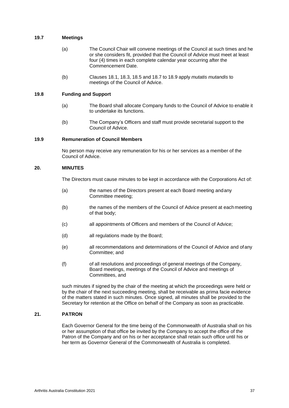# <span id="page-36-0"></span>**19.7 Meetings**

- (a) The Council Chair will convene meetings of the Council at such times and he or she considers fit, provided that the Council of Advice must meet at least four (4) times in each complete calendar year occurring after the Commencement Date.
- (b) Clauses [18.1,](#page-30-2) [18.3,](#page-30-4) [18.5](#page-31-1) and [18.7](#page-31-3) to [18.9](#page-32-1) apply *mutatis mutandis* to meetings of the Council of Advice.

# <span id="page-36-1"></span>**19.8 Funding and Support**

- (a) The Board shall allocate Company funds to the Council of Advice to enable it to undertake its functions.
- (b) The Company's Officers and staff must provide secretarial support to the Council of Advice.

#### <span id="page-36-2"></span>**19.9 Remuneration of Council Members**

No person may receive any remuneration for his or her services as a member of the Council of Advice.

#### <span id="page-36-3"></span>**20. MINUTES**

The Directors must cause minutes to be kept in accordance with the Corporations Act of:

- (a) the names of the Directors present at each Board meeting andany Committee meeting;
- (b) the names of the members of the Council of Advice present at eachmeeting of that body;
- (c) all appointments of Officers and members of the Council of Advice;
- (d) all regulations made by the Board;
- (e) all recommendations and determinations of the Council of Advice and ofany Committee; and
- (f) of all resolutions and proceedings of general meetings of the Company, Board meetings, meetings of the Council of Advice and meetings of Committees, and

such minutes if signed by the chair of the meeting at which the proceedings were held or by the chair of the next succeeding meeting, shall be receivable as prima facie evidence of the matters stated in such minutes. Once signed, all minutes shall be provided to the Secretary for retention at the Office on behalf of the Company as soon as practicable.

#### <span id="page-36-4"></span>**21. PATRON**

Each Governor General for the time being of the Commonwealth of Australia shall on his or her assumption of that office be invited by the Company to accept the office of the Patron of the Company and on his or her acceptance shall retain such office until his or her term as Governor General of the Commonwealth of Australia is completed.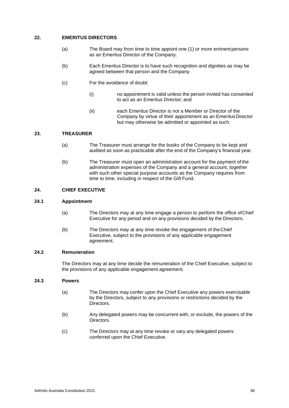# <span id="page-37-0"></span>**22. EMERITUS DIRECTORS**

- (a) The Board may from time to time appoint one (1) or more eminent persons as an Emeritus Director of the Company.
- (b) Each Emeritus Director is to have such recognition and dignities as may be agreed between that person and the Company.
- (c) For the avoidance of doubt:
	- (i) no appointment is valid unless the person invited has consented to act as an Emeritus Director; and
	- (ii) each Emeritus Director is not a Member or Director of the Company by virtue of their appointment as an EmeritusDirector but may otherwise be admitted or appointed as such.

# <span id="page-37-1"></span>**23. TREASURER**

- (a) The Treasurer must arrange for the books of the Company to be kept and audited as soon as practicable after the end of the Company's financial year.
- (b) The Treasurer must open an administration account for the payment of the administration expenses of the Company and a general account, together with such other special purpose accounts as the Company requires from time to time, including in respect of the Gift Fund.

# <span id="page-37-2"></span>**24. CHIEF EXECUTIVE**

#### <span id="page-37-3"></span>**24.1 Appointment**

- (a) The Directors may at any time engage a person to perform the office ofChief Executive for any period and on any provisions decided by the Directors.
- (b) The Directors may at any time revoke the engagement of theChief Executive, subject to the provisions of any applicable engagement agreement.

#### <span id="page-37-4"></span>**24.2 Remuneration**

The Directors may at any time decide the remuneration of the Chief Executive, subject to the provisions of any applicable engagement agreement.

# <span id="page-37-5"></span>**24.3 Powers**

- (a) The Directors may confer upon the Chief Executive any powers exercisable by the Directors, subject to any provisions or restrictions decided by the Directors.
- (b) Any delegated powers may be concurrent with, or exclude, the powers of the Directors.
- (c) The Directors may at any time revoke or vary any delegated powers conferred upon the Chief Executive.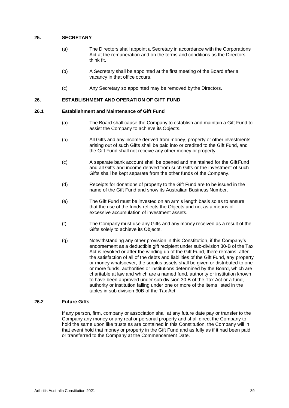# <span id="page-38-0"></span>**25. SECRETARY**

- (a) The Directors shall appoint a Secretary in accordance with the Corporations Act at the remuneration and on the terms and conditions as the Directors think fit.
- (b) A Secretary shall be appointed at the first meeting of the Board after a vacancy in that office occurs.
- (c) Any Secretary so appointed may be removed bythe Directors.

# <span id="page-38-1"></span>**26. ESTABLISHMENT AND OPERATION OF GIFT FUND**

# <span id="page-38-2"></span>**26.1 Establishment and Maintenance of Gift Fund**

- (a) The Board shall cause the Company to establish and maintain a Gift Fund to assist the Company to achieve its Objects.
- (b) All Gifts and any income derived from money, property or other investments arising out of such Gifts shall be paid into or credited to the Gift Fund, and the Gift Fund shall not receive any other money or property.
- (c) A separate bank account shall be opened and maintained for the GiftFund and all Gifts and income derived from such Gifts or the investment of such Gifts shall be kept separate from the other funds of the Company.
- (d) Receipts for donations of property to the Gift Fund are to be issued in the name of the Gift Fund and show its Australian Business Number.
- (e) The Gift Fund must be invested on an arm's length basis so as to ensure that the use of the funds reflects the Objects and not as a means of excessive accumulation of investment assets.
- (f) The Company must use any Gifts and any money received as a result of the Gifts solely to achieve its Objects.
- (g) Notwithstanding any other provision in this Constitution, if the Company's endorsement as a deductible gift recipient under sub-division 30-B of the Tax Act is revoked or after the winding up of the Gift Fund, there remains, after the satisfaction of all of the debts and liabilities of the Gift Fund, any property or money whatsoever, the surplus assets shall be given or distributed to one or more funds, authorities or institutions determined by the Board, which are charitable at law and which are a named fund, authority or institution known to have been approved under sub division 30 B of the Tax Act or a fund, authority or institution falling under one or more of the items listed in the tables in sub division 30B of the Tax Act.

# <span id="page-38-3"></span>**26.2 Future Gifts**

If any person, firm, company or association shall at any future date pay or transfer to the Company any money or any real or personal property and shall direct the Company to hold the same upon like trusts as are contained in this Constitution, the Company will in that event hold that money or property in the Gift Fund and as fully as if it had been paid or transferred to the Company at the Commencement Date.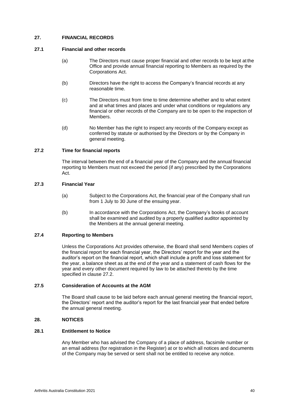# <span id="page-39-0"></span>**27. FINANCIAL RECORDS**

#### <span id="page-39-1"></span>**27.1 Financial and other records**

- (a) The Directors must cause proper financial and other records to be kept at the Office and provide annual financial reporting to Members as required by the Corporations Act.
- (b) Directors have the right to access the Company's financial records at any reasonable time.
- (c) The Directors must from time to time determine whether and to what extent and at what times and places and under what conditions or regulations any financial or other records of the Company are to be open to the inspection of Members.
- (d) No Member has the right to inspect any records of the Company except as conferred by statute or authorised by the Directors or by the Company in general meeting.

#### <span id="page-39-2"></span>**27.2 Time for financial reports**

The interval between the end of a financial year of the Company and the annual financial reporting to Members must not exceed the period (if any) prescribed by the Corporations Act.

# <span id="page-39-3"></span>**27.3 Financial Year**

- (a) Subject to the Corporations Act, the financial year of the Company shall run from 1 July to 30 June of the ensuing year.
- (b) In accordance with the Corporations Act, the Company's books of account shall be examined and audited by a properly qualified auditor appointed by the Members at the annual general meeting.

#### <span id="page-39-4"></span>**27.4 Reporting to Members**

Unless the Corporations Act provides otherwise, the Board shall send Members copies of the financial report for each financial year, the Directors' report for the year and the auditor's report on the financial report, which shall include a profit and loss statement for the year, a balance sheet as at the end of the year and a statement of cash flows for the year and every other document required by law to be attached thereto by the time specified in clause [27.2.](#page-39-2)

#### <span id="page-39-5"></span>**27.5 Consideration of Accounts at the AGM**

The Board shall cause to be laid before each annual general meeting the financial report, the Directors' report and the auditor's report for the last financial year that ended before the annual general meeting.

#### <span id="page-39-6"></span>**28. NOTICES**

# <span id="page-39-7"></span>**28.1 Entitlement to Notice**

Any Member who has advised the Company of a place of address, facsimile number or an email address (for registration in the Register) at or to which all notices and documents of the Company may be served or sent shall not be entitled to receive any notice.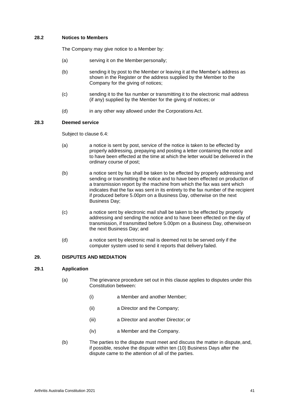# <span id="page-40-0"></span>**28.2 Notices to Members**

The Company may give notice to a Member by:

- (a) serving it on the Member personally;
- (b) sending it by post to the Member or leaving it at the Member's address as shown in the Register or the address supplied by the Member to the Company for the giving of notices;
- (c) sending it to the fax number or transmitting it to the electronic mail address (if any) supplied by the Member for the giving of notices; or
- (d) in any other way allowed under the Corporations Act.

# <span id="page-40-1"></span>**28.3 Deemed service**

Subject to clause [6.4:](#page-15-2)

- (a) a notice is sent by post, service of the notice is taken to be effected by properly addressing, prepaying and posting a letter containing the notice and to have been effected at the time at which the letter would be delivered in the ordinary course of post;
- (b) a notice sent by fax shall be taken to be effected by properly addressing and sending or transmitting the notice and to have been effected on production of a transmission report by the machine from which the fax was sent which indicates that the fax was sent in its entirety to the fax number of the recipient if produced before 5.00pm on a Business Day, otherwise on the next Business Day;
- (c) a notice sent by electronic mail shall be taken to be effected by properly addressing and sending the notice and to have been effected on the day of transmission, if transmitted before 5.00pm on a Business Day, otherwiseon the next Business Day; and
- (d) a notice sent by electronic mail is deemed not to be served only if the computer system used to send it reports that delivery failed.

# <span id="page-40-2"></span>**29. DISPUTES AND MEDIATION**

# <span id="page-40-3"></span>**29.1 Application**

- (a) The grievance procedure set out in this clause applies to disputes under this Constitution between:
	- (i) a Member and another Member;
	- (ii) a Director and the Company;
	- (iii) a Director and another Director; or
	- (iv) a Member and the Company.
- (b) The parties to the dispute must meet and discuss the matter in dispute,and, if possible, resolve the dispute within ten (10) Business Days after the dispute came to the attention of all of the parties.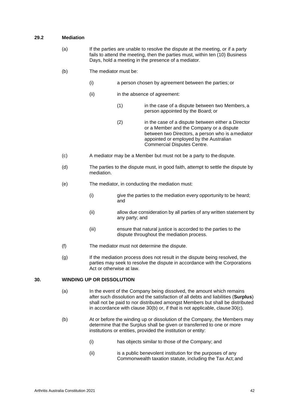# <span id="page-41-0"></span>**29.2 Mediation**

- (a) If the parties are unable to resolve the dispute at the meeting, or if a party fails to attend the meeting, then the parties must, within ten (10) Business Days, hold a meeting in the presence of a mediator.
- (b) The mediator must be:
	- (i) a person chosen by agreement between the parties; or
	- (ii) in the absence of agreement:
		- (1) in the case of a dispute between two Members, a person appointed by the Board; or
		- (2) in the case of a dispute between either a Director or a Member and the Company or a dispute between two Directors, a person who is amediator appointed or employed by the Australian Commercial Disputes Centre.
- (c) A mediator may be a Member but must not be a party to thedispute.
- (d) The parties to the dispute must, in good faith, attempt to settle the dispute by mediation.
- (e) The mediator, in conducting the mediation must:
	- (i) give the parties to the mediation every opportunity to be heard; and
	- (ii) allow due consideration by all parties of any written statement by any party; and
	- (iii) ensure that natural justice is accorded to the parties to the dispute throughout the mediation process.
- (f) The mediator must not determine the dispute.
- (g) If the mediation process does not result in the dispute being resolved, the parties may seek to resolve the dispute in accordance with the Corporations Act or otherwise at law.

# <span id="page-41-1"></span>**30. WINDING UP OR DISSOLUTION**

- (a) In the event of the Company being dissolved, the amount which remains after such dissolution and the satisfaction of all debts and liabilities (**Surplus**) shall not be paid to nor distributed amongst Members but shall be distributed in accordance with clause [30\(b\) o](#page-41-1)r, if that is not applicable, clause [30\(c\).](#page-41-1)
- (b) At or before the winding up or dissolution of the Company, the Members may determine that the Surplus shall be given or transferred to one or more institutions or entities, provided the institution or entity:
	- (i) has objects similar to those of the Company; and
	- (ii) is a public benevolent institution for the purposes of any Commonwealth taxation statute, including the Tax Act;and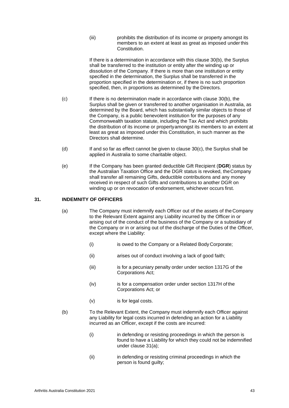(iii) prohibits the distribution of its income or property amongst its members to an extent at least as great as imposed under this Constitution.

If there is a determination in accordance with this clause [30\(b\),](#page-41-1) the Surplus shall be transferred to the institution or entity after the winding up or dissolution of the Company. If there is more than one institution or entity specified in the determination, the Surplus shall be transferred in the proportion specified in the determination or, if there is no such proportion specified, then, in proportions as determined by the Directors.

- (c) If there is no determination made in accordance with clause [30\(b\), t](#page-41-1)he Surplus shall be given or transferred to another organisation in Australia, as determined by the Board, which has substantially similar objects to those of the Company, is a public benevolent institution for the purposes of any Commonwealth taxation statute, including the Tax Act and which prohibits the distribution of its income or propertyamongst its members to an extent at least as great as imposed under this Constitution, in such manner as the Directors shall determine.
- (d) If and so far as effect cannot be given to clause [30\(c\),](#page-41-1) the Surplus shall be applied in Australia to some charitable object.
- (e) If the Company has been granted deductible Gift Recipient (**DGR**) status by the Australian Taxation Office and the DGR status is revoked, theCompany shall transfer all remaining Gifts, deductible contributions and any money received in respect of such Gifts and contributions to another DGR on winding up or on revocation of endorsement, whichever occurs first.

# <span id="page-42-0"></span>**31. INDEMNITY OF OFFICERS**

- (a) The Company must indemnify each Officer out of the assets of the Company to the Relevant Extent against any Liability incurred by the Officer in or arising out of the conduct of the business of the Company or a subsidiary of the Company or in or arising out of the discharge of the Duties of the Officer, except where the Liability:
	- (i) is owed to the Company or a Related Body Corporate;
	- (ii) arises out of conduct involving a lack of good faith;
	- (iii) is for a pecuniary penalty order under section 1317G of the Corporations Act;
	- (iv) is for a compensation order under section 1317H of the Corporations Act; or
	- (v) is for legal costs.
- <span id="page-42-1"></span>(b) To the Relevant Extent, the Company must indemnify each Officer against any Liability for legal costs incurred in defending an action for a Liability incurred as an Officer, except if the costs are incurred:
	- (i) in defending or resisting proceedings in which the person is found to have a Liability for which they could not be indemnified under clause [31\(a\);](#page-42-0)
	- (ii) in defending or resisting criminal proceedings in which the person is found guilty;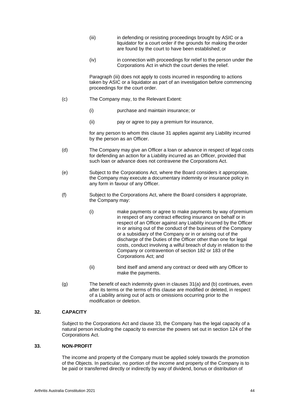- (iii) in defending or resisting proceedings brought by ASIC or a liquidator for a court order if the grounds for making theorder are found by the court to have been established; or
- (iv) in connection with proceedings for relief to the person under the Corporations Act in which the court denies the relief.

Paragraph (iii) does not apply to costs incurred in responding to actions taken by ASIC or a liquidator as part of an investigation before commencing proceedings for the court order.

- (c) The Company may, to the Relevant Extent:
	- (i) purchase and maintain insurance; or
	- (ii) pay or agree to pay a premium for insurance,

for any person to whom this clause [31 a](#page-42-0)pplies against any Liability incurred by the person as an Officer.

- (d) The Company may give an Officer a loan or advance in respect of legal costs for defending an action for a Liability incurred as an Officer, provided that such loan or advance does not contravene the Corporations Act.
- (e) Subject to the Corporations Act, where the Board considers it appropriate, the Company may execute a documentary indemnity or insurance policy in any form in favour of any Officer.
- (f) Subject to the Corporations Act, where the Board considers it appropriate, the Company may:
	- (i) make payments or agree to make payments by way ofpremium in respect of any contract effecting insurance on behalf or in respect of an Officer against any Liability incurred by the Officer in or arising out of the conduct of the business of the Company or a subsidiary of the Company or in or arising out of the discharge of the Duties of the Officer other than one for legal costs, conduct involving a wilful breach of duty in relation to the Company or contravention of section 182 or 183 of the Corporations Act; and
	- (ii) bind itself and amend any contract or deed with any Officer to make the payments.
- (g) The benefit of each indemnity given in clauses [31\(a\)](#page-42-0) and [\(b\)](#page-42-1) continues, even after its terms or the terms of this clause are modified or deleted, in respect of a Liability arising out of acts or omissions occurring prior to the modification or deletion.

# <span id="page-43-0"></span>**32. CAPACITY**

Subject to the Corporations Act and clause [33, t](#page-43-1)he Company has the legal capacity of a natural person including the capacity to exercise the powers set out in section 124 of the Corporations Act.

# <span id="page-43-1"></span>**33. NON-PROFIT**

The income and property of the Company must be applied solely towards the promotion of the Objects. In particular, no portion of the income and property of the Company is to be paid or transferred directly or indirectly by way of dividend, bonus or distribution of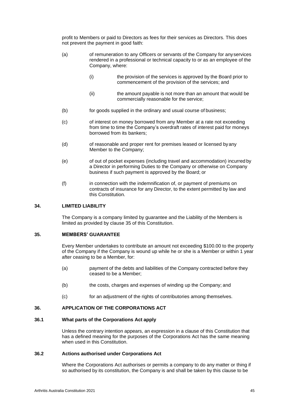profit to Members or paid to Directors as fees for their services as Directors. This does not prevent the payment in good faith:

- (a) of remuneration to any Officers or servants of the Company for anyservices rendered in a professional or technical capacity to or as an employee of the Company, where:
	- (i) the provision of the services is approved by the Board prior to commencement of the provision of the services; and
	- (ii) the amount payable is not more than an amount that would be commercially reasonable for the service;
- (b) for goods supplied in the ordinary and usual course of business;
- (c) of interest on money borrowed from any Member at a rate not exceeding from time to time the Company's overdraft rates of interest paid for moneys borrowed from its bankers;
- (d) of reasonable and proper rent for premises leased or licensed byany Member to the Company;
- (e) of out of pocket expenses (including travel and accommodation) incurred by a Director in performing Duties to the Company or otherwise on Company business if such payment is approved by the Board; or
- (f) in connection with the indemnification of, or payment of premiums on contracts of insurance for any Director, to the extent permitted by law and this Constitution.

#### <span id="page-44-0"></span>**34. LIMITED LIABILITY**

The Company is a company limited by guarantee and the Liability of the Members is limited as provided by clause [35 o](#page-44-1)f this Constitution.

#### <span id="page-44-1"></span>**35. MEMBERS' GUARANTEE**

Every Member undertakes to contribute an amount not exceeding \$100.00 to the property of the Company if the Company is wound up while he or she is a Member or within 1 year after ceasing to be a Member, for:

- (a) payment of the debts and liabilities of the Company contracted before they ceased to be a Member;
- (b) the costs, charges and expenses of winding up the Company; and
- (c) for an adjustment of the rights of contributories among themselves.

# <span id="page-44-2"></span>**36. APPLICATION OF THE CORPORATIONS ACT**

#### <span id="page-44-3"></span>**36.1 What parts of the Corporations Act apply**

Unless the contrary intention appears, an expression in a clause of this Constitution that has a defined meaning for the purposes of the Corporations Act has the same meaning when used in this Constitution.

#### <span id="page-44-4"></span>**36.2 Actions authorised under Corporations Act**

Where the Corporations Act authorises or permits a company to do any matter or thing if so authorised by its constitution, the Company is and shall be taken by this clause to be